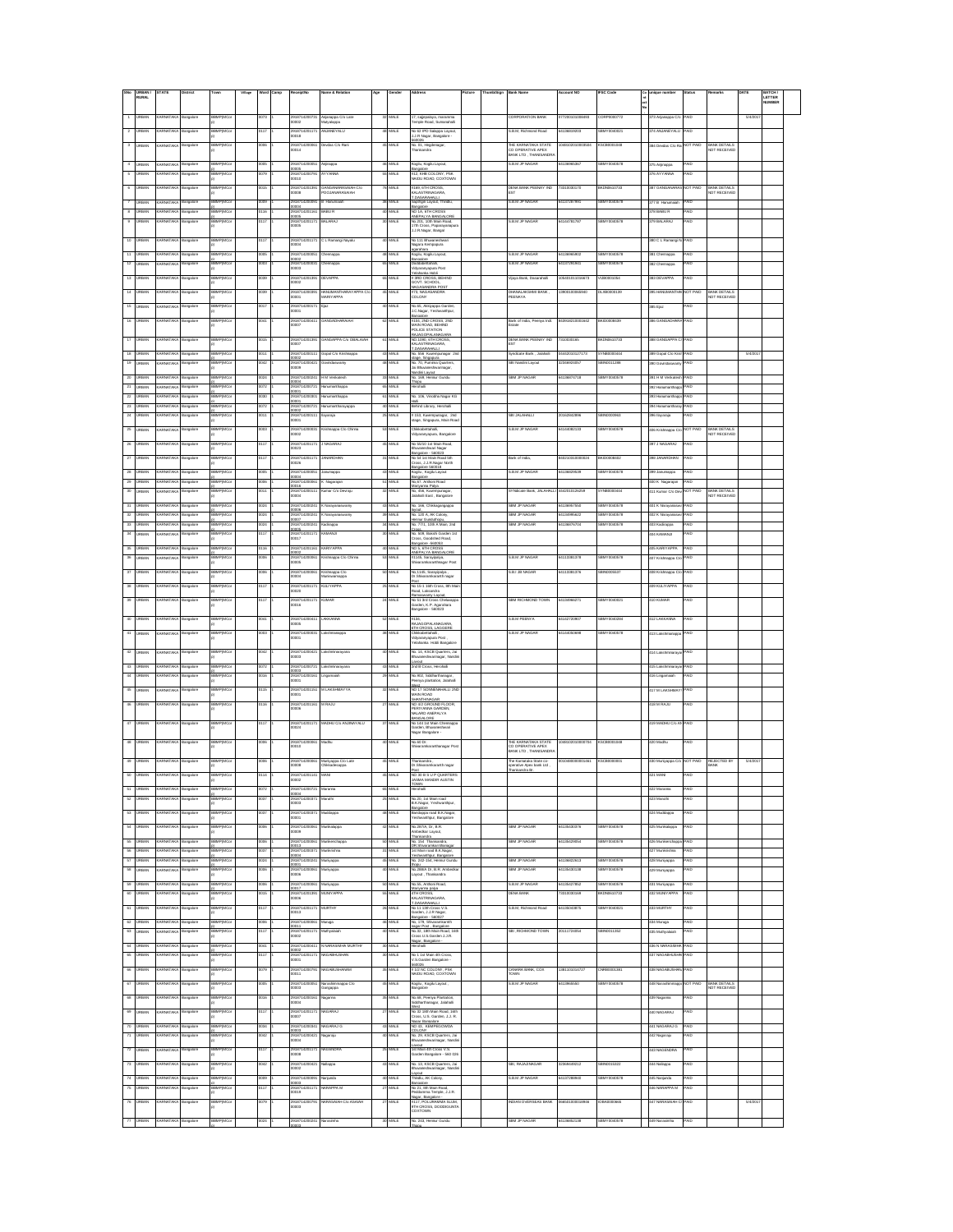|                              | URBAN<br>RURAL                | TATE                      |                      |                                  |      |                                         | ne & Reli                             |          |                          |                                                                                                                   | icture |                                                                | ount NO         | SC Code       | G |                                 |                   |                                     | ATE     | BATCH/<br>LETTER |  |
|------------------------------|-------------------------------|---------------------------|----------------------|----------------------------------|------|-----------------------------------------|---------------------------------------|----------|--------------------------|-------------------------------------------------------------------------------------------------------------------|--------|----------------------------------------------------------------|-----------------|---------------|---|---------------------------------|-------------------|-------------------------------------|---------|------------------|--|
|                              |                               |                           |                      |                                  |      |                                         |                                       |          |                          |                                                                                                                   |        |                                                                |                 |               |   |                                 |                   |                                     |         | NUMBER           |  |
| ۹.                           | <b>JRBAN</b>                  | ARNATAK                   | angalore             | <b>SBMPIMC</b>                   |      | 2918714200731<br>0002                   | Anjanappa C/o Late<br>Mutyalappa      |          | 32 MALE                  | 7. saiepalava, maram<br>ample Road, Sumanahalli                                                                   |        | CORPORATION RANK                                               | 77200101008493  | CORP0000772   |   | 373 Anjanappa Ci                | PAID              |                                     | 5/4/201 |                  |  |
| $\overline{2}$               | RRAN                          | <b>RNATAK</b>             | ingalon              | SRAPITAC                         |      | 291871420117                            | NIMEY MT                              |          | MLE                      | io 62 IPD Salappa Layout<br>LJ.R Nagar, Bangalore -<br>10000                                                      |        | R R M Richmond Road                                            | 4136819203      | BMY004002     |   | 374 ANJANEYALI                  | AID               |                                     |         |                  |  |
| $\overline{\mathbf{3}}$      | RRAN                          | <b>RNATAK</b>             | angalori             | <b>SAMPIMO</b>                   |      | 29187142000                             | avdas C/o Ran                         |          | 45 MALE                  | .<br>No. 01, Hegdenege<br>Thereforesh                                                                             |        | <b>THE KARNATAKA STATE</b><br>OPERATIVE APEX                   | 048102010003504 | SCR0001048    |   | 384 Devdas C/o F                | NOT PAID          | BANK DETAILS<br>NOT RECEIVED        |         |                  |  |
|                              |                               |                           |                      | BMPIMC                           |      | 2918714200051                           |                                       |          |                          |                                                                                                                   |        | ANK LTD, THANISANDRA<br>S.B.M.JP NAGAR                         | 4136965387      | BMY0040578    |   |                                 |                   |                                     |         |                  |  |
| $\overline{4}$               | <b>JRBAN</b>                  | <b><i>RNATAKA</i></b>     | angalore<br>ingalor  | <b>MP(MC</b>                     |      | 20005<br>291871420079                   | rjinappa<br><b><i><b>YANN</b></i></b> | 55       | 46 MALE                  | .<br>Ggilu, Kogilu Layout,<br>Bargalore<br>#12, KHB COLONY, PSK<br>NAIDU ROAD, COXTOWN                            |        |                                                                |                 |               |   | 375 Anjinappa<br>76 AYYAN       | PAID<br>иb        |                                     |         |                  |  |
|                              |                               |                           |                      |                                  |      | 0010                                    |                                       |          |                          |                                                                                                                   |        |                                                                |                 |               |   |                                 |                   |                                     |         |                  |  |
|                              |                               |                           | ngalon               |                                  |      | 91871420139<br>0008                     | ianganarasaiah CN<br>'OOJANARASAIAH   |          |                          | #169, 6TH CROSS<br>KALASTRINAGAR<br>AGARA<br>DASARAHALLI                                                          |        | DENA BANK PEENAY IND<br>EST                                    | 3310030170      | CDN0610733    |   | <b>B7 GANGA</b>                 |                   | BANK DETAILS<br>NOT RECEIVED        |         |                  |  |
| 8                            | RBAN                          | <b>RNATAKA</b>            | ingalore<br>ngalore  | <b>TMC</b>                       |      | 9187142000<br>0004<br>918714201         |                                       | 38       |                          | lapthgiri Layout, Thir<br>šangalore<br>#O 1A, 6TH CR                                                              |        | <b>B.M. JP NAGA</b>                                            | 13728799        | <b>MY0040</b> |   | 77 B Ha<br>378 BABU R           | AID               |                                     |         |                  |  |
| $^{\circ}$                   | RBAN                          | ARNATAKA                  | angalore             | <b>SMP(MCo</b>                   | 117  | 10005<br>2918714201171                  | <b>ALARAJ</b>                         | 30       | <b>MLE</b>               | ANEPALYA BANGALORE<br>No. 201, 10th Main Road,                                                                    |        | <b>B.B.M JP NAGAR</b>                                          | 4144781787      | BMY0040578    |   | 379 BALARAJ                     | AID               |                                     |         |                  |  |
|                              |                               |                           |                      |                                  |      | 10005                                   |                                       |          |                          | 17th Cross, Paparayanapu<br>J.J.R.Nagar, Bangal                                                                   |        |                                                                |                 |               |   |                                 |                   |                                     |         |                  |  |
| 10                           | <b>URBAN</b>                  | ARNATAKA                  | langalore            | BBMP(MCo                         | 117  | 2918714201171<br>10004                  | C L Ramangi Nayak                     | 40       | MALE                     | No 111 Bhuvanashwari<br>Nagara Kempapura                                                                          |        |                                                                |                 |               |   | 380 C L Ramangi                 | PAID              |                                     |         |                  |  |
| Ħ                            | RBAN                          | ARNATAK                   | ingalore             | BBMP(MC)                         |      | 291871420005<br>0002                    | hamappa                               |          | MLE                      | oarahara<br>ogilu, Kogilu Layout,<br>Bangalore                                                                    |        | S.B.M JP NAGAR                                                 | 4136965902      | BMY0040578    |   | 381 Chennappa                   | PAID              |                                     |         |                  |  |
| 12                           | <b>JRBAN</b>                  | ARNATAK                   | ngalore              | <b>SMP(MC</b>                    |      | 291871420003<br>ooos                    | hamappa                               |          | <b>MLE</b>               | bettahali.<br><b>Advaranvagura Post</b><br>elahanka Hobii                                                         |        | <b>B.B.M.JP NAGAR</b>                                          | 4137291941      | BMY004057     |   | 382 Chennappa                   | PAID              |                                     |         |                  |  |
| 13                           | RBAN                          | ARNATAK                   | ingalore             | <b>BEMP(MC)</b>                  |      | 291871420139<br>0002                    | <b>EVAPPA</b>                         |          | <b>MLE</b>               | #3RD CROSS, BEHIND<br>GOVT, SCHOOL                                                                                |        | /ijaya Bank, Dasarahal                                         | 15401011016673  | UB0001054     |   | <b>BSS DEVAPPA</b>              | PAID              |                                     |         |                  |  |
|                              |                               |                           |                      | <b>MPDM</b>                      |      | 29187142003<br>0001                     | ANUMANTHA<br><b>MARIYAPPA</b>         |          |                          | <b>IGASANDRA POST</b><br>3, NAGASANDRA<br>COLONY                                                                  |        | HANALAKSHMI BANK<br>PEENAYA                                    |                 | XB0000139     |   | <b>IS HANLIMAN</b>              | <b>OT PAR</b>     | <b>VWK DETAIL</b><br>NOT RECEIVED   |         |                  |  |
| 15                           |                               |                           | ngalore              |                                  |      | !91871420017<br>!0001                   |                                       |          |                          | .<br>40.65, Akkiyappa Garden<br>J.C.Nagar, Yeshwanthpur,                                                          |        |                                                                |                 |               |   | 86 Eja                          | 4Đ                |                                     |         |                  |  |
| 16                           |                               |                           |                      |                                  |      | 9187142004                              |                                       |          |                          | Bangalona<br>#104, 2ND CROSS, 2ND<br>MAIN ROAD, BEHIND                                                            |        | .<br>Bank of India, Peenya Indi.<br>Estate                     | 13018210001642  | ID000843      |   |                                 |                   |                                     |         |                  |  |
|                              |                               |                           |                      |                                  |      | <br>1007                                |                                       |          |                          | MAIN RUND, BERRY<br>POLICE STATION<br>RAJAGOPALANAG                                                               |        |                                                                |                 |               |   |                                 |                   |                                     |         |                  |  |
|                              |                               |                           |                      |                                  |      | 187142013<br>007                        |                                       |          |                          | CALASTRINAGARA,                                                                                                   |        | DENA BANK PEENAY IND<br>$\overline{\text{ST}}$                 |                 | CDN0610733    |   | <b>BB GANGAPPA</b>              |                   |                                     |         |                  |  |
| 18                           |                               |                           | angalore             | MP(MC                            |      | 91871420011                             | opal C/o Kri                          |          | 43 MALE                  | ARAHALLI<br>No. 556 Kuvempunagar 2                                                                                |        | Syndicate Bank, Jalahall                                       | 442010127173    | YNB000044     |   | 89 Gopal C/o K                  | AIO               |                                     | 5/4/2   |                  |  |
| 19                           |                               |                           | ngalore              | MP(MC                            |      | 291871420042<br>IO009                   |                                       |          |                          | No. 70, Purnima Quarters<br>Jai Bhuvaneshwarinagar,                                                               |        | BI Nandini Layou                                               |                 | IN001128E     |   |                                 |                   |                                     |         |                  |  |
| $20\,$                       | <b>JRBAN</b>                  | <b>JRNATAKA</b>           | ingalore             | <b>AP(MC</b>                     |      | 9187142002                              | M Venkate                             | 33       |                          | andini Lavout<br>No. 169, Hennur Gundu                                                                            |        | BM JP NAGAI                                                    | 136874718       | MY004057      |   | 391 H M Verkate                 |                   |                                     |         |                  |  |
| 21                           | RBAN                          | <b>RNATAKA</b>            | angalore             | <b>BMP(MCc</b>                   | 072  | 0004<br>2918714200721<br>0001           | anumanthappa                          | 65       | MALE                     | Thopu<br><b>Harohalli</b>                                                                                         |        |                                                                |                 |               |   | 392 Hanumarthap                 | <b>AID</b>        |                                     |         |                  |  |
| $22\,$                       | <b>JRBAN</b>                  | <b>RNATAKA</b>            | angalore             | <b>SMP(MCo</b>                   | 080  | 2918714200301<br>ICO 1                  | anumanthappa                          |          | 61 MALE                  | No. 106, Vinobha Nagar KG                                                                                         |        |                                                                |                 |               |   | 393 Hanumanthap                 | <b>GIA</b>        |                                     |         |                  |  |
| 23<br>$^{24}$                | <b>LIRBAN</b><br><b>JRBAN</b> | RNATAK<br><b>ARNATAK</b>  | angalore<br>angalore | <b>BRMP(MCc</b><br><b>SMPIMC</b> | 1072 | 2918714200721<br>0002<br>2918714200111  | lanumantharayapp<br>ayaraja           |          | 40 MALE<br>25 MALE       | Behind Library, Herohalli                                                                                         |        | LIAHAJAL IBB                                                   | 0162842896      | BIN0000963    |   | 394 Hanumantha<br>396 Ilayaraja | PAID<br>PAID      |                                     |         |                  |  |
|                              | RBAN                          | ARNATAK                   |                      | BBMPIMC                          |      | 0001<br>291871420003                    | rishnappa C/o Chinn                   |          | 53 MALE                  | # 153, Kuvampunagar, 2nd<br>staga, Singapura, Main Roa<br><b>Teksbetteheli</b>                                    |        | R R M IP NACAR                                                 | 4144082133      | BMY004057     |   | 406 Krishnappa C                | <b>NOT PAID</b>   | <b>BANK DETAILS</b>                 |         |                  |  |
| $_{25}^{\prime\prime}$       |                               |                           | angalore             |                                  |      | 0002                                    |                                       |          |                          | fdyaranyapura, Bangalore                                                                                          |        |                                                                |                 |               |   |                                 |                   | NOT RECEIVED                        |         |                  |  |
| $26\,$                       | RBAN                          | ARNATAK                   | angalore             | BBMPIMC                          |      | 2918714201171<br>otes                   | <b>NAGARAJ</b>                        |          | 45 MALE                  | No 55/10 1st Main Road<br>vari Nagar<br>sonalne - 580023                                                          |        |                                                                |                 |               |   | 397 J NAGARAJ                   | PAID              |                                     |         |                  |  |
| $\overline{\mathbf{27}}$     | RRAN                          | <b>RNATAK</b>             | angalori             | SMPIMO                           |      | 291871420117                            | ANARDHAM                              | 31       | MLE                      | an gabre - 300023<br>ib 54 1st Main Road 5th<br>Jansalore 560018                                                  |        | Bank of Indi                                                   | 4021031000002   | cincocean     |   | 398 JANARDHAN                   | <b>AID</b>        |                                     |         |                  |  |
| $\rm 28$                     | RRAN                          | <b>ARNATAKA</b>           | angalore             | <b>BMPIMC</b>                    |      | 2918714200051                           | inumappa                              |          | 43 MALE                  | logilu , Kogilu Layout                                                                                            |        | <b>S.B.M.JP NAGAF</b>                                          | 34136829539     | BMY004057     |   | 399 Janumappa                   | PAID              |                                     |         |                  |  |
| $29\,$                       |                               | WATAK                     | ngalore              | MPIMC                            |      | 291871420006                            | Nagaraja                              | 51       | IAI F                    | No.67. Anthoni Road                                                                                               |        |                                                                |                 |               |   | 400 K Nagarajan                 | 'AID              |                                     |         |                  |  |
| 30                           |                               |                           | ingalor              | <b>MP(MC</b>                     |      | !9187142001<br>!0004                    | mar C/o De                            | $32\,$   |                          | Marivanna Palva<br>No, 456, Kuvempunagar,<br>Jalahalli East , Bangalore                                           |        |                                                                |                 |               |   | 11 Kumar C/o D                  | <b>NOT PAID</b>   | BANK DETAILS<br>VOT RECEIVED        |         |                  |  |
| 31                           |                               |                           | ingalor              | YM)                              |      | 29187142002                             |                                       | 43       |                          | No. 166, Chikkagangappa                                                                                           |        |                                                                |                 |               |   | 01 K N                          |                   |                                     |         |                  |  |
| $\overline{\boldsymbol{32}}$ | RBAN                          | <b>ARNATAK</b><br>RNATAKA | ingalore             | MP(MC                            | 024  | 00006<br>291871420024<br>0007           | Narayana                              | $39$     |                          | No. 120 A, AK Colony.<br>Hennur Gunduthopu                                                                        |        | BM JP NA                                                       |                 | MY0040        |   | 602 K Nanayana                  | <b>AID</b>        |                                     |         |                  |  |
| 33<br>34                     | RBAN<br><b>JRBAN</b>          | <b>RNATAKA</b>            | angalore<br>angalore | BMP(MCo<br><b>SMP(MCo</b>        | 117  | 2918714200241<br>0005<br>2918714201171  | adinappa<br><b>ILIAMA</b>             | 34<br>30 | <b>MLE</b><br><b>MLE</b> | No. 77/1, 10th A Main, 2nd<br>No. 509, Bakshi Garden 1st                                                          |        | <b>SBM JP NAGAR</b>                                            | 4136876704      | BMY004057     |   | 603 Kadirappa<br>04 KAMANJI     | <b>AID</b>        |                                     |         |                  |  |
| $36 -$                       | <b>JRBAN</b>                  | <b>JRNATAKA</b>           | angalore             | <b>BBMP(MCa</b>                  | 116  | 0017<br>2918714201161                   | ARIYAPPA                              | 40       | MALE                     | Iross, Goodshed Road,<br>Sangalore - 560053<br>NO 5, 6TH CROSS                                                    |        |                                                                |                 |               |   | 405 KARIYAPPA                   | PAID              |                                     |         |                  |  |
| 38                           | RBAN                          | RNATAK                    | ingalore             | <b>BMPIMC</b>                    |      | 0002<br>291871420006                    | ishnappa C/o Chinna                   | 53       | MLE                      | ANEPALYA BANGALORI<br>#1145, Sarayic                                                                              |        | <b>B.B.M.JP NAGAR</b>                                          | 4113381378      | BMY0040578    |   | 407 Krishnappa C                | AID               |                                     |         |                  |  |
| 37                           | RBAN                          | RNATAK                    | ngalore              | <b>BEMP(MC)</b>                  |      | 0005<br>291871420006                    |                                       |          | <b>MLE</b>               | hivaramkaranthnagar Post<br>No, 1145, Sarayipalya                                                                 |        | <b>B.B.I JB NAGAR</b>                                          | 4113381376      | 3IN0005537    |   | 408 Krishnappa (                | <b>AID</b>        |                                     |         |                  |  |
|                              |                               |                           |                      |                                  |      | 0004                                    | .<br>Inshrappa Clo<br>Inniswamappa    |          |                          | Dr. Shivaramkaranth naga                                                                                          |        |                                                                |                 |               |   |                                 |                   |                                     |         |                  |  |
| 38                           | RBAN                          | ARNATAK                   | ingalore             | <b>BEMP(MC)</b>                  |      | 291871420117<br>0020                    | <b><i><u>ULIYAPPA</u></i></b>         | 25       | MLE                      | No 15-1 16th Cross, 8th M<br>pad, Laksandra                                                                       |        |                                                                |                 |               |   | 609 KULIYAPPA                   | PAID              |                                     |         |                  |  |
| 50                           |                               |                           |                      | RMPIM                            |      | 2918714201<br>30016                     | MAR                                   |          |                          | <b>Ramaswamy Layou</b><br>Io 51 3rd Cross Ch<br>Garden, K.P. Agerahara                                            |        | <b>M RICHMOND TOWN</b>                                         | 134966271       | 3MY004002     |   | <b>10 KUMAR</b>                 |                   |                                     |         |                  |  |
| 40                           |                               |                           | ngalori              |                                  |      |                                         | (KANN                                 | 52       | AL E                     | sangalore - 560023                                                                                                |        | <b>BMPEENY</b>                                                 |                 | 3MY004028     |   | 12 LAKKANNA                     |                   |                                     |         |                  |  |
|                              |                               |                           |                      |                                  |      | 9187142004<br>0005<br>9187142000        |                                       |          | AL S                     | 134.<br>IAJAGOPALANAGARA                                                                                          |        |                                                                |                 |               |   |                                 |                   |                                     |         |                  |  |
| 41                           |                               |                           | ngalor               |                                  |      | 001                                     |                                       |          |                          | ouxour-Australianos<br>ITH CROSS, LAGGERE<br>Jhäkabettahalli<br>Adyaranyapura Post ,<br>Yelahanka, Hobi Bangalore |        | <b>BM JP NAGA</b>                                              |                 |               |   |                                 |                   |                                     |         |                  |  |
| $42\,$                       |                               |                           | angalore             | МР(МС                            |      | 91871420042                             | shminarayar                           |          |                          | No. 14, KSCB Quarters, Ja                                                                                         |        |                                                                |                 |               |   | 14 Lai                          | AIO               |                                     |         |                  |  |
| 43                           |                               |                           | ingalore             | MP(MC                            |      | 0003<br>91871420072                     | ishminaraya                           | 43       | MLE                      | eshwarinagar, Nand<br>Lavout<br>2nd B Cross, Herohalli                                                            |        |                                                                |                 |               |   | 15 Laks                         | AID               |                                     |         |                  |  |
| 44                           |                               |                           | ingalore             | <b>MP(MC</b>                     |      | 291871420016<br>10001                   |                                       | $^{29}$  | ALE                      | lo.902, Siddharthanagar,<br>Nenya plantation, Jalahalli                                                           |        |                                                                |                 |               |   | 16 Lingi                        | AID               |                                     |         |                  |  |
| 45                           | <b>JRBAN</b>                  | <b><i>ARNATAK</i></b>     | ngalore              |                                  |      | 91871420                                |                                       |          |                          | WS.<br>NO 17 SONNENA<br>MAIN ROAD                                                                                 |        |                                                                |                 |               |   | 417 M LAKSHMA                   |                   |                                     |         |                  |  |
|                              |                               |                           |                      |                                  |      | 0001                                    |                                       |          |                          | SHANTHINAGAR                                                                                                      |        |                                                                |                 |               |   |                                 |                   |                                     |         |                  |  |
| 46                           | <b>JRBAN</b>                  | ARNATAKA                  | langalore            | BBMP(MCo                         | 116  | 2918714201161<br>8000                   | A RAJU                                |          | 27 MALE                  | NO 4/2 GROUND FLOOR<br>PERIYANNA GARDEN<br>ALARD ANEPALYA                                                         |        |                                                                |                 |               |   | 418 M RAJU                      | AID               |                                     |         |                  |  |
| 47                           | <b>JRBAN</b>                  | ARNATAKA                  | langalore            | BBMP(MCc                         |      | 2918714201171<br>10024                  | MADHU C/o ANJINAYALU                  | 37       | MALE                     | BANGALORE<br>No 144 1st Main Chennappy<br>Garden, Bhuaneshwari                                                    |        |                                                                |                 |               |   | 419 MADHU C/o A                 | PAID              |                                     |         |                  |  |
|                              |                               |                           |                      |                                  |      |                                         |                                       |          |                          | Nagar Bangalore -                                                                                                 |        |                                                                |                 |               |   |                                 |                   |                                     |         |                  |  |
| 48                           | <b>LIRBAN</b>                 | ARNATAK                   | angalore             | <b>BBMP(MC</b>                   |      | 291871420006<br>00010                   | ladhu                                 |          | 40 MALE                  | No.60 Dr.<br>.<br>Shkaramkaranthanagar Pos                                                                        |        | THE KARNATAKA STATE<br>O OPERATIVE APEX<br>ANK LTD, THANSANDRA | 048102010000704 | KSCB0001048   |   | 420 Madhu                       | PAID              |                                     |         |                  |  |
| 49                           | <b>JRBAN</b>                  | ARNATAK                   | angalore             | BBMPIMC                          |      | 291871420006<br>ocos                    | Muniyappa C/o Late<br>Chikkadesappa   |          | 45 MALE                  | Thanisandra .                                                                                                     |        | .<br>Tha Kamataka Rtata nn<br>perative Apex bank Ltd.          | 10480000001461  | SC8000000     |   | 430 Muniyappa C/o NOT PAID      |                   | RE IECTED BY<br><b>BANK</b>         | 5/4/201 |                  |  |
| 50                           | RBAN                          | ARNATAK                   | angalore             | BBMPIMC                          |      | 2918714201141                           | MN                                    |          | 45 MALE                  | Dr. Shivaramkaranth nagar<br>NO 30 B S U P QUARTERS                                                               |        | .<br>Thanksandra Br                                            |                 |               |   | <b>121 MAN</b>                  | PAID              |                                     |         |                  |  |
| 51                           | <b>URBAN</b>                  | KARNATAKA                 | Bangalore            | <b>BBMPIMCor</b>                 | 0072 | 0002<br>2918714200721                   | Maranna                               |          | 65 MALE                  | <b>JASMA MANDIR AUSTIN</b><br>Herohali                                                                            |        |                                                                |                 |               |   | 422 Marama                      | PAID              |                                     |         |                  |  |
| 52                           | <b>URBAN</b>                  | <b>CARNATAKA</b>          | langalore            | <b>BMPIMCo</b>                   | 037  | 00004<br>2918714200371<br>00003         | laruthi                               |          | 25 MALE                  | No. 20, 1st Main road<br>B.K. Nagar, Yeshwarthpur,<br>Ramainre                                                    |        |                                                                |                 |               |   | 123 Maruthi                     | PAID              |                                     |         |                  |  |
| 53                           | URBAN                         | <b>ARNATAKA</b>           | langalore            | BBMP(MC                          | 037  |                                         | ifuddappa                             |          | 48 MALE                  |                                                                                                                   |        |                                                                |                 |               |   | 424 Muddappa                    | PAID              |                                     |         |                  |  |
|                              |                               |                           |                      | <b>BBMP(MC)</b>                  |      | 2918714200371<br>00001                  |                                       |          | 42 MALE                  | Barnaure<br>Bandappa road B.K.Nagar,<br>Yeshwarrhpur, Bangalore                                                   |        |                                                                |                 |               |   |                                 |                   |                                     |         |                  |  |
|                              | 54 LIRBAN                     | KARNATAKA                 | langalore            |                                  |      | 2918714200061<br>00009                  | ıfunikalappa                          |          |                          | No.287/A, Dr, B.R.<br>Ambedkar Layout,                                                                            |        | SBM JP NAGAR                                                   | 4135430376      | BMY0040578    |   | 425 Munikalappa                 | PAID              |                                     |         |                  |  |
| 56 <sub>5</sub><br>56        |                               |                           | langalore            | <b>MP(MC</b><br>MP(MC            |      | 2918714200061<br>00013<br>2918714200371 | Aunikenchapp<br>unikrishna            | 31       | 50 MALE                  | Thanisandra<br>No. 154 Thanisandra,<br>DR Shivanamkarrithanaga<br>1st Main road B.K.Nagar,                        |        | SBM JP NAGAR                                                   | 4135429064      | BMY004057     |   | 426 Mur<br>427 Muni             | AID<br><b>AID</b> |                                     |         |                  |  |
| 57                           | <b>URBAN</b>                  | ARNATAKA                  | angalore<br>angalore | MP(MC                            |      | 00004<br>2918714200241                  | funiyappa                             | 45       |                          | Yeshwarrhour, Bangalore<br>No. 242-154, Hennur Gundu                                                              |        | <b>SBM JP NAGAR</b>                                            | 4136822613      | 3MY004057     |   | 428 Munivagora                  |                   |                                     |         |                  |  |
| 58                           | <b>URBAN</b>                  | <b>ARNATAKA</b>           | angalore             | BBMP(MCo                         | 006  | 10001<br>2918714200061<br>8000          | funiyappa                             | 40       | <b>MALE</b>              | 10012<br>No.288/A Dr, B.R. Ambedica<br>ayout, Thanisandra                                                         |        | SBM JP NAGAR                                                   | 34135430138     | SBMY0040578   |   | 429 Muniyappa                   | PAID              |                                     |         |                  |  |
|                              | 59 LIRBAN                     | ARNATAKA                  | <b>Bangalore</b>     | BBMP(MCor                        | 3006 | 2918714200061                           | Muniyappa                             | 50       | MALE                     | No.55, Anthoni Road,                                                                                              |        | S.B.M JP NAGAR                                                 | 64135427852     | SBMY0040578   |   | 431 Muniyappa                   | PAID              |                                     |         |                  |  |
| 60                           | <b>URBAN</b>                  | ARNATAKA                  | langalore            | BBMP(MCo                         | 015  | 00017<br>2918714201391<br>30000         | MUNYAPPA                              | 55       | <b>MALE</b>              | sviso annovinsi<br>4TH CROSS,<br>KALASTRINAGARA,                                                                  |        | DENA BANK                                                      | 93310030169     | BKDN0610733   |   | 432 MUNYAPPA                    | PAID              |                                     |         |                  |  |
| 61                           | <b>LIRBAN</b>                 | <b>ARNATAK</b>            | ngalore              | BBMP(MCo                         |      | 2918714201171                           | MURTHY                                |          | 26 MALE                  | DASARAHALLI<br>No 11 13th Cross V.S.                                                                              |        | S.B.M, Richmond Road                                           | 14135043875     | BMY0040021    |   | 433 MURTHY                      | PAID              |                                     |         |                  |  |
| $\approx$                    | <b>JRBAN</b>                  | <b>ARNATAK</b>            | angalore             | BBMP(MCc                         |      | 20013<br>2918714200061                  | futupa                                |          | 46 MALE                  | Garden, J.J.R Nagar<br>Bangalore - 560027<br>No. 179. Shivanamkarrith                                             |        |                                                                |                 |               |   | 134 Muruga                      | PAID              |                                     |         |                  |  |
| $\boldsymbol{\epsilon}$      | RBAN                          | <b><i>RNATAKA</i></b>     | angalore             | <b>BMP(MC)</b>                   |      | 2918714201171                           | futhyalaiah                           |          | MLE                      | anar Post Rannairea<br>No.32, 18th Main Road, 16th                                                                |        | <b>SBI ,RICHMOND TOWN</b>                                      | 20111724054     | BIN0011352    |   | 435 Muthyalaiah                 | PAID              |                                     |         |                  |  |
| 64                           | <b>BAN</b>                    | WATAK                     | ngalore              | MP(MC                            |      | 10002<br>918714200411                   | NARASIMHA MURTI                       | 30       | ALE                      | Cross U.S. Garden J.J.R.<br>Nagar, Bangalore -<br>arohalli                                                        |        |                                                                |                 |               |   | 36 N NARASI                     | AID               |                                     |         |                  |  |
| 66                           | <b>BAN</b>                    | <b>ENATAK</b>             | ngalore              | <b>AP(MC)</b>                    |      | 2918714201171<br>10001                  | AGABHUSHAN                            |          | MLE                      | No 1 1st Main 4th Cross<br>V.S.Garden Bangalore -<br>560026                                                       |        |                                                                |                 |               |   | 37 NAGABHUS                     | AID               |                                     |         |                  |  |
| 66                           | RBAN                          | <b>ARNATAKA</b>           | ngalore              | <b>SMP(MC</b>                    |      |                                         | AGABUSHANAM                           |          | AL E                     |                                                                                                                   |        |                                                                | 381101014727    | NRB0001381    |   | 38 NAGABUSH                     | 4Đ                |                                     |         |                  |  |
|                              |                               |                           |                      |                                  |      | 2918714200791<br>30011                  |                                       |          |                          | I<br>1/2 NC COLONY, PSK<br>WIDU ROAD, COXTOWN                                                                     |        | CANARA BANK, COX<br>TOWN                                       |                 |               |   |                                 |                   |                                     |         |                  |  |
| 67                           | 8.AN                          | <b><i>RNATAKA</i></b>     | angalore             | BMP(MC                           |      | 291871420005<br>00003                   | iarashimmappa C/o<br>Jangappa         |          | MLE                      | Kogilu, Kogilu Layout,<br>angalore                                                                                |        | S.B.M JP NAGAR                                                 | 413965550       | 3MY0040578    |   | 48 Narashin                     | NOT PAID          | <b>BANK DETAILS</b><br>NOT RECEIVED |         |                  |  |
| 68                           | 38.AN                         | <b><i>FINATAK</i></b>     | langalore            | <b>BMP(MC</b>                    |      | 291871420016<br>00004                   | laganna                               | 35       | MLE                      | .<br>No.68, Peenya Plantation,<br>Siddherthenagar, Jalahelli                                                      |        |                                                                |                 |               |   | 139 Nagama                      | AID               |                                     |         |                  |  |
| $\boldsymbol{\omega}$        | <b>URBAN</b>                  | ARNATAKA                  | langalore            | BMP(MC                           |      | 2918714201171<br>0007                   | AGARAJ                                | 27       | MLE                      | Vest<br>No. 32 18th Main Road, 16th<br>Cross, U.S. Garden, J.J. R.                                                |        |                                                                |                 |               |   | 440 NAGARAJ                     | AID               |                                     |         |                  |  |
|                              | 70 URBAN                      | ARNATAKA                  | angalore             | BBMP(MCo                         | 1034 | 2918714200341                           | NAGARAJ G                             |          | 43 MALE                  | Nagar Bangalore<br>NO 43, KEMPEGOWDA                                                                              |        |                                                                |                 |               |   | 441 NAGARAJ G                   | PAID              |                                     |         |                  |  |
| 71                           | <b>URBAN</b>                  | ARNATAKA                  | langalore            | BBMP(MCo                         | 042  | 0003<br>2918714200421<br>30004          | Lijanagal                             | 40       | MALE                     | COLONY<br>No. 29, KSCB Quarters, Jai<br>Bhuvaneshwarinagar, Nandin                                                |        |                                                                |                 |               |   | 442 Nagaraju                    | <b>PAID</b>       |                                     |         |                  |  |
|                              | 72 LIRBAN                     | <b>ARNATAKA</b>           | <b>Bangalore</b>     | BBMP(MCo                         | 117  | 2918714201171<br>80000                  | NAGENDRA                              |          | 25 MALE                  | <b>BACKER</b><br>1st Main 4th Cross V.S.                                                                          |        |                                                                |                 |               |   | 443 NAGENDRA                    | PAID              |                                     |         |                  |  |
| 73                           | <b>LIRBAN</b>                 | ARNATAK                   | langalore            | BBMP(MCc                         | 042  | 2918714200421                           | lallappa                              |          | 43 MALE                  | Garden Bangalore - 560 026<br>No. 13, KSCB Quarters, Jai<br>Bhuvaneshwarinagar, Nandini                           |        | <b>SBI, RAJAJINAGAR</b>                                        | 32369449212     | BIN0015322    |   | 444 Naliappa                    | PAID              |                                     |         |                  |  |
|                              | 74 LIRBAN                     | <b>GARINATAKA</b>         | langalore            | $\mathbf{p}$<br><b>BBMPIMCo</b>  | 1009 | 10002<br>2918714200091                  | Nanjunda                              |          | 40 MALE                  | Layout<br>Thindlu, AK Colony,                                                                                     |        | S.B.M JP NAGAR                                                 | 64137288940     | SBMY0040578   |   | 445 Nanjunda                    | PAID              |                                     |         |                  |  |
| 75                           | <b>URBAN</b>                  | ARNATAKA                  | langalore            | BBMPIMCo                         | 117  | 2918714201171                           | <b>WRAPPA M</b>                       |          | 27 MALE                  | Bangalor<br>No 21, 8th Main Road,<br>Paddamma Temple, J.J.R.                                                      |        |                                                                |                 |               |   | 446 NARAPPA M                   | PAID              |                                     |         |                  |  |
| 76                           | <b>DO AN</b>                  | RNATAK                    |                      | <b>SBMPIMC</b>                   |      | 0019<br>2918714200791                   | ARASAIAH C/o ASAIA                    |          | MLE                      | Nagar, Bangalore -<br>#117, POLURAMMA SLUM                                                                        |        | <b>NDIAN OVERSEAS BANK</b>                                     | 66501000018946  | 384000068     |   | 447 NARASAIAH                   | PAID              |                                     | 5/4/201 |                  |  |
|                              |                               |                           |                      |                                  |      | 10003                                   |                                       |          |                          | STH CROSS, DODDIGUNTA<br>COXTOWN                                                                                  |        |                                                                |                 |               |   |                                 |                   |                                     |         |                  |  |
| $\overline{n}$               | <b>URBAN</b>                  | <b>CARINATAKA</b>         | langalore            | BBMP(MC)                         |      | 2918714200241                           | larasimta                             |          | 30 MALE                  | No. 243, Hennur Gundu                                                                                             |        | SBM JP NAGAR                                                   | 64136852138     | SBMY0040578   |   | 449 Narasimha                   | PAID              |                                     |         |                  |  |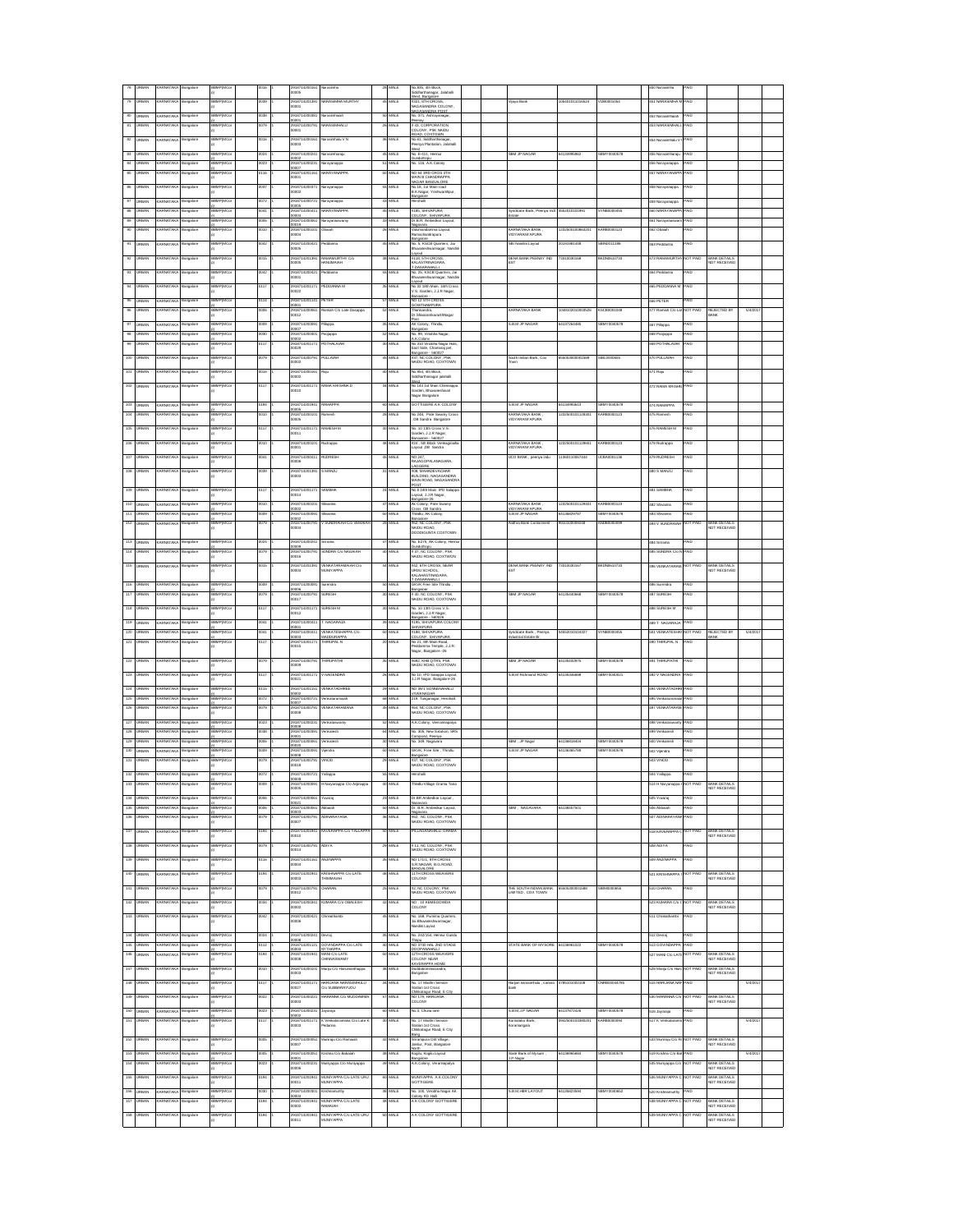|               |               |                      |           | <b>BMPIMC</b>   |                 | 2918714200161<br>10005        |                                       |                 | .<br>Mif    | ib.835, 4th Block<br>Srk@orthanaer                                           |                                                 |                  |                |                      |                 |                                                              |         |  |
|---------------|---------------|----------------------|-----------|-----------------|-----------------|-------------------------------|---------------------------------------|-----------------|-------------|------------------------------------------------------------------------------|-------------------------------------------------|------------------|----------------|----------------------|-----------------|--------------------------------------------------------------|---------|--|
| 79            | RRAN          | <b>ARNATAK</b>       | ngalore   | <b>BMPIMC</b>   | 039             | 01871420130                   | ARASIMHA MI RTI                       |                 | MLE         | .<br>Anarthenagar, Jalahali<br>Jest, Bangalow                                | /ijaya Bani                                     | 05401011016524   | 1.80001054     | 451 NARASIMHA        | AID.            |                                                              |         |  |
|               |               |                      |           |                 |                 | <br>0001                      |                                       |                 |             | <b>821, STH CROSS,<br/>NAGASANDRA COLONY.</b>                                |                                                 |                  |                |                      |                 |                                                              |         |  |
| 80            | <b>JRBAN</b>  | ARNATAK              | angalore  | <b>BMPIMC</b>   | 860             | 018714200981                  | orocimbolo                            | 50              | MLE         | NAGASANDRA COCO<br>NAGASANDRA POST<br>No. 371, Ashrayanagar                  |                                                 |                  |                | 452 Narasimh         | AID             |                                                              |         |  |
| 81            |               |                      | ngalon    | <b>AP(MC</b>    | m               | 9187142<br>0001               |                                       | 26              | M.          | #43, CORPORATION<br>COLONY, PSK NAIDU                                        |                                                 |                  |                |                      |                 |                                                              |         |  |
| $\mathbf{82}$ |               |                      | angalore  | <b>AP(MC</b>    | 116             | 2918714200                    |                                       | 36              | Ш           | OAD, COXTOWN                                                                 |                                                 |                  |                |                      | 4Đ              |                                                              |         |  |
|               |               |                      |           |                 |                 | 10003                         |                                       |                 |             | No.61, Siddharthanagar,<br>Paenya Plantation, Jalahall                       |                                                 |                  |                |                      |                 |                                                              |         |  |
| $^{83}$       | <b>URBAN</b>  | ARNATAK              | angalore  | <b>AP(MC</b>    |                 | 91871420<br>10002             |                                       | 46              | AL I        | west<br>No. E-411, Hemur<br><b>Bunduthoos</b>                                | iBM JP N                                        |                  |                | 455 Narasimharaj     | 4Đ              |                                                              |         |  |
| 84            | <b>JRBAN</b>  | ARNATAKA             | ingalore  | SMP(MCo         | 023             | 918714200231<br>0007          | larayanappa                           | 51              | MALE        | No. 116, A.K.Colony                                                          |                                                 |                  |                | 56 Narayanappa       | AID             |                                                              |         |  |
| 85            | <b>URBAN</b>  | ARNATAKA             | ngalore   | <b>BBMP(MCo</b> | 3116            | 918714201161<br>0001          | <b>ARAYANAPPA</b>                     | 50              | MALE        | NO 64 3RD CROS 3TH<br>MAIN B CHANDRAPPA                                      |                                                 |                  |                | 57 NARAYANAP         | AID             |                                                              |         |  |
| 86            | <b>URBAN</b>  | ARNATAKA             | angalore  | BBMP(MCo        | 037             | 2918714200371                 | larayanappa                           | 55              | <b>MALE</b> | NAGAR BANGALORE<br>No.18, 1st Main road                                      |                                                 |                  |                | 458 Narayanappa      | <b>AID</b>      |                                                              |         |  |
|               |               |                      |           |                 |                 | 10002                         |                                       |                 |             | B.K.Nagar, Yeshwarthpur<br>Bangalore                                         |                                                 |                  |                |                      |                 |                                                              |         |  |
| 87            | <b>JRBAN</b>  | RNATAK               | ngalore   | <b>BMPIMC</b>   | 072             | 291871420072<br>0005          | rayanappi                             |                 | <b>MALE</b> | .<br>Hohali                                                                  |                                                 |                  |                | 59 Narayanappa       | AID             |                                                              |         |  |
| 88            | <b>JRBAN</b>  | ARNATAK              | ngalore   | <b>BMPIMC</b>   | 041             | 291871420041<br>0004          | ARAYANAPPA                            |                 | <b>MALE</b> | #185. SHIVAPLIRA<br>COLONY, SHIVAPURA                                        | yndicate Bank, Peenya Ind<br>-<br>State         | 552010101991     | YNB0000455     | 60 NARAYANA          | AID             |                                                              |         |  |
| 89            | <b>JRBAN</b>  | RNATAK               | ngalore   | <b>BMPIMCo</b>  | 006             | 918714200061<br>0019          | <b>Intervaloration arms</b>           | 33              | MALE        | Dr.B.R. Ambedkar Layout                                                      |                                                 |                  |                | 461 Narayanası       | AID             |                                                              |         |  |
| 90            | <b>PRAN</b>   | <b>PNATAK</b>        | galore    | <b>MPIMC</b>    | HO              | 918714200101<br>0004          |                                       |                 | AL E        | mma Layout<br>/alumanza<br>Pemachandrapura                                   | KARNATAKA BANK<br>VIDYARANYAPURA                |                  | 100123         |                      | 4Đ              |                                                              |         |  |
|               |               |                      | igalor    | <b>BMP(MC</b>   | 42              | 91871420042                   |                                       |                 | AL E        |                                                                              | .<br>SBI Nandini Layout                         | 191981448        |                | 3 Peddann            | 4D              |                                                              |         |  |
|               |               |                      |           |                 |                 |                               |                                       |                 |             | san<br>No. 5, KSCB Quarters, Jai<br>Bhuvaneshwarinagar, Nandi                |                                                 |                  |                |                      |                 |                                                              |         |  |
|               |               |                      |           | BMP(M)          |                 | 018714201<br>0005             | :AMAMURTH<br>IANUMAIAH                |                 | V.          | 118, STH CROSS<br>KALASTRINAGAR<br><b>AGARA</b>                              | DENA BANK PEENAY IND<br>$\overline{\text{ST}}$  | 31003016E        | DN061073       | <b>RAMAMIR</b>       | OT PAI          | BANK DETAILS<br>NOT RECEIVED                                 |         |  |
|               |               |                      |           | <b>BMPOM</b>    |                 | 0187142                       |                                       |                 | ar i        | DASARAHALLI<br>3. 25. KSCB Qu                                                |                                                 |                  |                |                      |                 |                                                              |         |  |
|               |               |                      |           |                 |                 | <br>000 t                     |                                       |                 |             | shwarinagar, Nar                                                             |                                                 |                  |                |                      |                 |                                                              |         |  |
|               |               |                      | ingalore  | BMP(MC          |                 | 291871420117<br>0022          | EDDANNA N                             |                 | <b>MALE</b> | No. 32 18th Main, 16th Cro<br>V.S. Garden, J.J.R Nagar,                      |                                                 |                  |                | is PEDDA             | AID             |                                                              |         |  |
|               |               |                      | ngalore   |                 |                 | 91871420114                   | ETER                                  |                 | MLE         | NO 12 STH CROS                                                               |                                                 |                  |                | 68 PETE              |                 |                                                              |         |  |
| 96            | <b>JRBAN</b>  | ARNATAK              |           |                 |                 | 000<br>187142000              |                                       |                 |             | Thanisandra,<br>Dr. Shivaramka                                               |                                                 |                  |                | 477 Ramiah C/o La    | IOT PA          | ©:JECTED  <br>≀ANK                                           | 5/4/201 |  |
|               |               |                      |           |                 |                 | 0012                          |                                       |                 |             | anthNagar<br>ast                                                             |                                                 |                  |                |                      |                 |                                                              |         |  |
| 97            | <b>URBAN</b>  | ARNATAKA             | Bangalore | <b>BBMP(MCo</b> | 009             | 918714200091<br>0007          | diappa <sup></sup>                    | 35              | <b>MALE</b> | AK Colony, Thindiu,                                                          | <b>B.B.M JP NAGAR</b>                           | 64137264485      | SBMY0040578    | 467 Pillappa         | <b>GIA</b>      |                                                              |         |  |
| 98            | <b>URBAN</b>  | ARNATAKA             | langalore | <b>BBMP(MCa</b> | 000             | 2918714200301                 | oojappa                               | 52              | <b>MALE</b> | No. 99, Vincbha Nagar,<br>A.K.Col                                            |                                                 |                  |                | 468 Poojappa         | <b>GIA</b>      |                                                              |         |  |
| s             | <b>LIRBAN</b> | ARNATAK              | angalore  | <b>BRMP(MCc</b> | 117             | 91871420117<br>0029           | OTHALAIAH                             |                 | MALE        | No 310 Vinobha Nagar Huts<br>East Side, Chamaraj pet,                        |                                                 |                  |                | 69 POTHALAIA         | AID             |                                                              |         |  |
| 100           | <b>JRBAN</b>  | ARNATAK              | angalore  | <b>SBMPIMC</b>  | 079             | 291871420079<br>0002          | <b>ULLAIAH</b>                        |                 | MALE        | Bangalore - 560027<br>#37, NC COLONY, PSK<br>VAIDU ROAD, COXTOWN             | South Indian Bank, Cox<br>lown                  |                  | <b>BL00006</b> | 470 PULLAIAH         | <b>AID</b>      |                                                              |         |  |
| 101           | <b>LIRBAN</b> | ARNATAK              |           | <b>SBMPIMC</b>  | 016             | 2918714200161                 | taju                                  | 40              | MALE        | No. 954, 4th Block.                                                          |                                                 |                  |                | 471 Raiu             | <b>AID</b>      |                                                              |         |  |
|               |               |                      | langalore |                 |                 | 0002                          |                                       |                 |             | Siddharthanagar jalahalli                                                    |                                                 |                  |                |                      |                 |                                                              |         |  |
| 102           | <b>RRAN</b>   | <b>RNATAK</b>        |           | <b>SBMPIMC</b>  | n7              | 291871420117<br>ooto          | AMA KRISHNA                           |                 | MLE         | <b>Wild for Main Chermann</b><br>Contro Rhumon<br><b>Pranati</b>             |                                                 |                  |                | 472 RAMA KRIS        | 4ID             |                                                              |         |  |
|               |               |                      |           |                 |                 |                               |                                       |                 |             | Nagar Bangalore                                                              |                                                 |                  |                |                      |                 |                                                              |         |  |
| 103           | RBAN          | ARNATAK              | langalore | <b>SMPIMC</b>   | 194             | 018714201941                  | <b>AMAPPA</b>                         | $\omega$        | MLE         | GOTTIGERE A K COLONY                                                         | <b>S.B.M.JP NAGAR</b>                           | 34134993613      | BMY0040578     | 474 RAMAPPA          | AID             |                                                              |         |  |
| 104           | RRAN          | <b>ARNATAK</b>       | ngalon    | .<br>ЗЯМРНМО    | 010             | :<br>1918714200101<br>10005   |                                       | $\overline{28}$ | .<br>Jai F  | No 248, Pate Swamy Cros<br>, DB Sandra Bangalore                             | .<br>KARNATAKA BANK<br>VIDYARANYAPURA           | 1232500101128301 | (ARROOM)       | 475 Romas            | AID             |                                                              |         |  |
| IOS           |               |                      |           | SMPIMO          | n               | 1018714201                    | <b>MAFSH M</b>                        |                 | .<br>Jai F  |                                                                              |                                                 |                  |                |                      | AID             |                                                              |         |  |
|               |               |                      |           |                 |                 | <br>001 1                     |                                       |                 |             | No. 10 13th Cross V.S.<br>Garden, J.J.R Nagar,<br>Garden, J.J.R Nagar,       |                                                 |                  |                |                      |                 |                                                              |         |  |
| 106           |               |                      | ngalore   |                 |                 | 291871<br>00001               |                                       |                 | ML.         | Bangalore - 560027<br>#24 , 5th Block Veni<br>Layout ,DB Sandra<br>ock Venka | KARNATAKA BANK<br>VIDYARANYAPURA                |                  |                | 3 Rudrapp            | AID             |                                                              |         |  |
| 107           |               |                      | angalore  | P(MC            |                 | 29187142                      |                                       | 45              | MLE         | NO 24                                                                        | JCO BANK , peenya indu                          | 38011006744      |                | 9 RUDRES             | AID             |                                                              |         |  |
|               |               |                      |           |                 |                 | 0006                          |                                       |                 |             | <b>JAGOPALANAGARA</b>                                                        |                                                 |                  |                |                      |                 |                                                              |         |  |
|               | <b>URBAN</b>  | ARNATAKA             |           |                 |                 | 291871<br>10003               |                                       |                 |             | LAGGERE<br>#08, MAHADEVACHAR<br>BUILDING, NAGASANDRA<br>MAIN ROAD, NAGASANDR |                                                 |                  |                | 480 S MANJU          |                 |                                                              |         |  |
|               |               |                      |           |                 |                 |                               |                                       |                 |             | POST                                                                         |                                                 |                  |                |                      |                 |                                                              |         |  |
| 109           | <b>URBAN</b>  | ARNATAKA             | langalore | BBMP(MCo        | 117             | 2918714201171<br>10014        | <b>AMBHA</b>                          | $^{24}$         | <b>MLE</b>  | No 8 24th Main IPD Salapp.<br>Layout, J.J.R Nagar,                           |                                                 |                  |                | 481 SAMBHA           | <b>AID</b>      |                                                              |         |  |
| 110           | <b>URBAN</b>  | ARNATAKA             | langalore | <b>BBMP(MCo</b> | 010             | 2918714200101                 | tivanna                               | 47              | <b>MLE</b>  | Bargalore-26<br>Ak Colony, Pate Swamy                                        | CARNATAKA BANK                                  | 1232500101129401 | GARB0000123    | 482 Shivanna         | <b>GIA</b>      |                                                              |         |  |
| 111           | <b>JRBAN</b>  | ARNATAKA             | ngalore   | SMP(MCo         | 800             | 0002<br>2918714200091         |                                       | 50              | MALE        | Foss DB Sandra<br>Thindlu, AK Colony.                                        | <b>VIDYARANYAPLIRA</b><br><b>B.B.M.JP NAGAR</b> | 4136829787       | BMY0040578     | <b>Anavit3</b> C&    | <b>AID</b>      |                                                              |         |  |
| 112           | RBAN          | ARNATAK              | ngalore   | <b>BMPIMC</b>   | 079             | 0002<br>291871420079          | SLINDRAIAH C/n VEMAL                  |                 | MALE        | Bangalore<br>62 NC COLONY PRK                                                | <b>Indhra Bank Contonment</b>                   | 91010000924      | <b>NDRO</b>    | <b>33 V SUNDRAIA</b> | <b>VOT PAID</b> | BANK DETAILS                                                 |         |  |
|               |               |                      |           |                 |                 | 0004                          |                                       |                 |             | NAIDU ROAD<br>DODDIGUNTA COXTOWN                                             |                                                 |                  |                |                      |                 | NOT RECEIVED                                                 |         |  |
| 113           | <b>URBAN</b>  | ARNATAK              | ngalore   | <b>SMP(MCc</b>  | 024             | 291871420024                  | ńana                                  |                 | MALE        | No. E275, AK Colony, Henn                                                    |                                                 |                  |                | \$84 Srinama         | <b>AID</b>      |                                                              |         |  |
| 114           | RBAN          | ARNATAK              | ngalore   | <b>BMP(MC)</b>  | 079             | 0009<br>2918714200791         | <b>UNDRA C/o NAGAIAH</b>              |                 | MALE        | <b>Junduthoos</b><br>#37. NC COLONY, PSK                                     |                                                 |                  |                | <b>185 SUNDRA C/</b> | <b>AID</b>      |                                                              |         |  |
|               |               |                      |           |                 |                 | 0016                          |                                       |                 |             | VAIDU ROAD, COXTWON                                                          |                                                 |                  |                |                      |                 |                                                              |         |  |
|               |               |                      | igalore   | BMPIMC          |                 | 9187142013<br>0004            | FMKATARA<br><b>ILINYAPPA</b>          |                 | <b>ALF</b>  | 42. 6TH CROSS, NEAR<br><b>RDUSCHOOL</b>                                      | JENA BANK PEENAY IND<br>                        | 310030167        | KDN0610733     | 6 VENKAT             | <b>DT PAID</b>  | BANK DETAILS<br>VOT RECEIVED                                 |         |  |
|               |               |                      |           |                 |                 |                               |                                       |                 |             | ARADANTPARA                                                                  |                                                 |                  |                |                      |                 |                                                              |         |  |
| 116           | RRAN          | RNATAK               | igalore   | <b>BMPIMC</b>   |                 | 91871420                      |                                       |                 | ALE         | TOASARAHALLI<br>JKVK Free Site Thindlu                                       |                                                 |                  |                | 66 Surendri          | 4Đ              |                                                              |         |  |
| 117           | <b>BAN</b>    | RNATAK               |           | <b>MPIMC</b>    | 79              | 918714200791<br>0017          | <b>LRESH</b>                          |                 | MLE         | 44, NC COLONY, PSK<br>NAIDU ROAD, COXTOWN                                    | <b>SBM JP NAGAR</b>                             | 135440688        | BMY004057      | 87 SURESH            | 4Đ              |                                                              |         |  |
| 118           |               |                      |           | <b>MP(MC</b>    |                 | 291871420117                  | <b>LRESH M</b>                        |                 | MLE         | No. 10 13th Cross V.S.                                                       |                                                 |                  |                | <b>8 SURESH N</b>    | ٨Ю              |                                                              |         |  |
|               |               |                      | angalore  |                 |                 | 10012                         |                                       |                 |             | rden, J.J.R Nagar                                                            |                                                 |                  |                |                      |                 |                                                              |         |  |
| 119           |               |                      | angalore  | <b>MP(MC</b>    |                 | 291871420041                  | NAGARAJ                               |                 | <b>MLE</b>  | angalore - 581<br>#195, SHIVAPURA COLO<br>SHIVAPURA                          |                                                 |                  |                | <b>SO T NAC</b>      |                 |                                                              |         |  |
| 120           | <b>URBAN</b>  | ARNATAKA             | ngalore   |                 |                 | 291871420041<br>10003         | ENKATESHA<br><b>IADDURAPPA</b>        | ы               | ML E        | #188, SHIVAPURA<br>COLONY, SHIVAPURA                                         | lyndicate Bank, Peenya<br>ndustrial Estate Br.  | 6201010432       |                | 501 VENKATESH        | OT PAID         | EJECTED B'<br>sм                                             | 5/4/201 |  |
| 121           | <b>URBAN</b>  | ARNATAKA             | angalore  | <b>BBMP(MCa</b> | 117             | 2918714201171                 | <b>HIRLIPAL N</b>                     | 20              | MALE        | No 21, 8th Main Road,                                                        |                                                 |                  |                | 190 THRUPAL N        | <b>AID</b>      |                                                              |         |  |
|               |               |                      |           |                 |                 | 0015                          |                                       |                 |             | ma Temple, J.J.R.<br>Vagar, Bangalore -26                                    |                                                 |                  |                |                      |                 |                                                              |         |  |
| 122           | <b>URBAN</b>  | ARNATAKA             | Bangalore | BBMP(MCo        | 079             | 2918714200791<br>0009         | <b>HIRLIPATHI</b>                     | 35              | <b>MALE</b> | 692, KHB QTRS, PSK<br>VAIDU ROAD, COXTOWN                                    | SBM JP NAGAR                                    | 34135432975      | SBMY0040578    | 491 THRUPATH         | <b>GIA</b>      |                                                              |         |  |
| 123           | <b>URBAN</b>  | ARNATAKA             | Bangalore | BBMP(MCo        | 3117            | 2918714201171                 | <b>NAGENDRA</b>                       | 26              | MALE        | No 10, IPD Salappa Layout,                                                   | <b>B.B.M Richmond ROAD</b>                      | 34135346698      | SBMY0040021    | 492 V NAGENDRA       | <b>GIA</b>      |                                                              |         |  |
|               |               |                      |           |                 |                 | 0021                          |                                       |                 |             | LJ.R Nagar, Bangalore-26                                                     |                                                 |                  |                |                      |                 |                                                              |         |  |
| 124           | <b>URBAN</b>  | ARNATAK              | angalore  | <b>SBMPIMC</b>  | 0115            | 2918714201151<br>ore:         | ENKATADHREE                           | $\overline{29}$ | MALE        | NO 39/1 SONNENAHALLI<br><b>IVEKNAGAR</b>                                     |                                                 |                  |                | 494 VENKATADH        | <b>AID</b>      |                                                              |         |  |
| 125           | <b>URBAN</b>  | ARNATAK              | angalore  | <b>SMPIMC</b>   | 0072            | 2918714200721<br>0007         | onkararamaia                          | 68              | MALE        | 219. Tunganagar, Herohalli                                                   |                                                 |                  |                | 495 Verkata          | <b>AID</b>      |                                                              |         |  |
| 126           | <b>IRRAN</b>  | ARNATAK              | ingalore  | <b>SMPIMC</b>   | 3079            | 2918714200791<br>ocos         | ENKATARAMAN                           | 35              | MALE        | <b>#64, NC COLONY, PSK</b><br>VAIDU ROAD, COXTOWN                            |                                                 |                  |                | 497 VENKATARA        | PAID            |                                                              |         |  |
| 127           | <b>RRAN</b>   | RNATAK               | angalore  | <b>SMPIMC</b>   | 1023            | 2918714200231                 | enkatasw                              | 52              | <b>MLE</b>  | A.K.Colony, Veerannapalya                                                    |                                                 |                  |                | 498 Verkata          | AID             |                                                              |         |  |
| 128           | RBAN          | RNATAK               | ngalore   | <b>BMPIMCo</b>  | $_{60}$         | 918714200391                  | <b>Inister</b>                        | 64              | .<br>Mif    | io. 305, New Extation, SRS                                                   |                                                 |                  |                | 499 Verkatesh        | AID             |                                                              |         |  |
| 129           | RRAN          | <b>RNATAK</b>        | ngalore   | <b>BMPIMCo</b>  | $\frac{1}{200}$ | 918714200061                  | <b>Inister</b>                        | $^{30}$         | .<br>Mai F  | No. 349, Nagavara                                                            | SBM , JP Nagar                                  | 34136818404      | BMY0040578     | 500 Verkatesh        | AID             |                                                              |         |  |
| 130           |               |                      | ngak      | мемс            | ma              | 918714200                     | jendr                                 | 50              | .<br>Mir    | SKVK, Free Ste., Thirds                                                      | <b>B.B.M.JP NAGA</b>                            | 413636578        | RMYMAIN        | 302 Vijendra         | AID             |                                                              |         |  |
| 131           |               |                      | ngalore   |                 | m               | 918714200                     | INOD                                  | 29              | M.          | Bargalore<br>#37, NC COLONY, PSK<br>NAIDU ROAD, COXTOWN                      |                                                 |                  |                | 3 VINOE              |                 |                                                              |         |  |
|               |               |                      |           |                 |                 | 10018                         |                                       |                 |             |                                                                              |                                                 |                  |                |                      |                 |                                                              |         |  |
| 132           |               |                      |           |                 | 172             | 2918714200721<br>3009         | allapp                                | 55              | M.          |                                                                              |                                                 |                  |                |                      |                 |                                                              |         |  |
| 133           | <b>URBAN</b>  | ARNATAKA             | ngalore   | MP(MCo          |                 | 91871420009<br>0005           | Naryanappa C/o Anjinappa              |                 |             | hindlu Village Grama Tana                                                    |                                                 |                  |                | 514 H Naryanappa     | <b>JOT PAID</b> | BANK DETAILS<br>NOT RECEIVE <mark>E</mark>                   |         |  |
| 134           | <b>URBAN</b>  | ARNATAKA             | Bangalore | BBMP(MCo        | 800             | 2918714200061                 | 'uvaraj                               | 23              | MALE        | Dr.BR Ambediar Layout,                                                       |                                                 |                  |                | 506 Yuvaraj          | <b>PAID</b>     |                                                              |         |  |
| 135           | <b>URBAN</b>  | ARNATAKA             | ngalore   | <b>BBMP(MCo</b> | 800             | 0021<br>2918714200061         | deisdd                                | 50              | MALE        | eavers<br>Dr. B.R. Ambedkar Layout,                                          | SBM. NAGAVARA                                   | 64138457501      |                | 06 Abbaiah           | <b>AID</b>      |                                                              |         |  |
| 138           | <b>LIRBAN</b> | RNATAK               | ngalore   | <b>BBMP(MCo</b> | 3079            | 0003<br>918714200791          | ADINARAYANA                           |                 | MLE         | Nagayara<br>NC COLONY, PSK                                                   |                                                 |                  |                | 07 ADINARAYA         | AID             |                                                              |         |  |
| 137           | <b>LIRBAN</b> | ARNATAK              |           | <b>BMP(MCo</b>  | 194             | 10007<br>2918714201941        | <b>KAVERAPPA Cio YALLAPP</b>          | 50              | MALE        | VAIDU ROAD, COXTOWN<br>PILLAGANAHALLI GRAMA                                  |                                                 |                  |                | 518 KAVERAPPA        | NOT PAID        | <b>RANK DETAILS</b>                                          |         |  |
|               |               |                      | ingalore  |                 |                 | 0010                          |                                       |                 |             |                                                                              |                                                 |                  |                |                      |                 | <b>NOT RECEIVED</b>                                          |         |  |
| 138           | <b>LIRBAN</b> | <b>ARNATAK</b>       | ngalore   | <b>BEMP(MCc</b> | 079             | 2918714200791<br>0014         | ADIYA                                 | $^{29}$         | <b>MALE</b> | # 11, NC COLONY, PSK<br>VAIDU ROAD, COXTOWN                                  |                                                 |                  |                | <b>GB ADIYA</b>      | <b>AID</b>      |                                                              |         |  |
| 139           | <b>JRBAN</b>  | ARNATAK              | ngalore   | <b>BEMP(MCc</b> | 116             | 2918714201161                 | <b>NJINAPPA</b>                       | 35              | MALE        | NO 171/1, 9TH CROSS                                                          |                                                 |                  |                | 509 ANJINAPPA        | AID             |                                                              |         |  |
|               |               |                      |           |                 |                 | 0004                          |                                       |                 |             | S.R.NAGAR, B.G.ROAD.<br>BANGALORI                                            |                                                 |                  |                |                      |                 |                                                              |         |  |
| 140           |               |                      | igalore   | <b>BMP(MC)</b>  | 194             | 918714201941<br>0003          | RISHNAPPA C/o LATE<br>HIMMAIAH        |                 | AL E        | 11TH CROSS WEAVERS                                                           |                                                 |                  |                | 21 KRISHNAPF         | OT PAID         | BANK DETAILS<br>NOT RECEIVED                                 |         |  |
| 141           |               | RNATAK               | ngalori   | <b>SMP(MC</b>   | 179             | 918714200791                  | HARAN                                 | $\overline{z}$  | AL E        |                                                                              |                                                 |                  |                | 10 CHARAN            | 4D              |                                                              |         |  |
|               |               |                      |           |                 |                 | 0012                          |                                       |                 |             | #2, NC COLONY, PSK<br>NAIDU ROAD, COXTOWN                                    | THE SOUTH INDIAN BAY<br>LIMITED , COX TOWN      |                  |                |                      |                 |                                                              |         |  |
| 142           | <b>BAN</b>    | <b><i>RNATAK</i></b> |           | <b>SMP(MC</b>   |                 | !918714200341<br>!0002        | <b>LMARA C/o OBALESH</b>              |                 | ALE         | NO . 10 KEMEGOWDA<br>COLONY                                                  |                                                 |                  |                | 23 KUMARA C/o        | OT PAID         | BANK DETAILS<br>NOT RECEIVED                                 |         |  |
| 143           |               |                      | angalore  | BMP(MC)         |                 | 2918714200421                 | hinnathamb                            |                 | MALE        | No. 168, Purnima Quarters                                                    |                                                 |                  |                | 511 Chinn            | AIO             |                                                              |         |  |
|               |               |                      |           |                 |                 | 0006                          |                                       |                 |             | Jai Bł<br>inagar,<br>landini Layout                                          |                                                 |                  |                |                      |                 |                                                              |         |  |
| 144           |               |                      | langalore | <b>MP(MC</b>    |                 | 291871420024                  | ovraj                                 |                 | <b>MALE</b> | No. 242/154, Hennur Gundu                                                    |                                                 |                  |                | 512 Devraj           | AID             |                                                              |         |  |
| 145           | <b>URBAN</b>  | ARNATAKA             | ngalore   |                 | 112             | 2918714201121<br>00003        | OVINDAPPA C/o LATE                    | 40              | MLE         | NO 3730 HAL 2ND STAGE                                                        | STATE BANK OF MYSORE                            | 4136961022       | BMY0040578     | 513 GOVINDAPP        |                 |                                                              |         |  |
| 146           | <b>JRBAN</b>  | ARNATAKA             | Bangalore | <b>BBMP(MCo</b> | 194             | 2918714201941                 | <b>ИТНАРРА</b><br><b>MAN C/o LATE</b> | 50              | MALE        | DOOPANAHALLI<br>12TH CROSS WEAVERS                                           |                                                 |                  |                | 527 MANI C/o LAT     | <b>IOT PAID</b> | BANK DETAILS                                                 |         |  |
|               |               |                      |           |                 |                 | 8000                          | <b>HINNASWAMY</b>                     |                 |             | <b>COLONY NEAR</b><br>KAVERAPPA HOME                                         |                                                 |                  |                |                      |                 | <b>VOT RECEIVED</b>                                          |         |  |
| 147           | <b>URBAN</b>  | ARNATAKA             | Bangalore | BBMP(MCo        | 010             | 2918714200101<br>0003         | llanju C/o Hanumanthappa              | 38              | MALE        | Doddabommasandra,<br>Bangalore                                               |                                                 |                  |                | 528 Maniu C/o Han    | <b>NOT PAID</b> | <b>BANK DETAILS</b><br>NOT RECEIVED                          |         |  |
| 148           | <b>URBAN</b>  | ARNATAKA             | Bangalore | BBMP(MCo        | 3117            | 2918714201171                 | ARUANA NARASIMHULU                    | 34              | MALE        | No. 17 Maithri Service                                                       | Harijan nanasimhulu, canara 4785101002108       |                  | 2NRB00044785   | 515 HARLIANA NA      | <b>GIA</b>      |                                                              | 5/4/201 |  |
|               |               |                      |           |                 |                 | 10027                         | No SUBBARAYUDU                        |                 |             | Station 1st Cross<br>Chikkatagur Road. E City                                | sank                                            |                  |                |                      |                 |                                                              |         |  |
| 149           | <b>URBAN</b>  | ARNATAK              | angalore  | <b>SBMPIMC</b>  | 022             | 2918714200221<br>0003         | ARANNA C/o MUDDAMM                    | 57              | MALE        | NO 179, HARIJANA<br>COLONY                                                   |                                                 |                  |                | 530 MARANNA CA       | NOT PAID        | <b>BANK DETAILS</b><br>NOT RECEIVED                          |         |  |
| 150           | <b>URBAN</b>  | ARNATAKA             | Bangalore | <b>SBMPIMCo</b> | 0023            | 2918714200231                 | ayaraja                               |                 | 60 MALE     | No.3. Chuna lane                                                             | <b>B.B.M.J.P NAGAR</b>                          | 64137872426      | SBMY0040578    | 516 Jayaraja         | PAID            |                                                              |         |  |
| 151           | <b>IRRAN</b>  | ARNATAKA             | angalore  | <b>SBMPIMCo</b> | 0117            | 10002<br>2918714201171        | K Verkataramana C/o Late F            | 30              | MALE        | No. 17 Maithri Service<br>Station 1st Cross                                  | Karnataka Bank                                  | 0942500103380201 | KARB0000094    | 517 K Verkatara      | PAID            |                                                              | S/4/201 |  |
|               |               |                      |           |                 |                 | 0003                          | danna                                 |                 |             | Childeatagur Road, E City                                                    | Koramangala                                     |                  |                |                      |                 |                                                              |         |  |
| 152           | <b>RRAN</b>   | ARNATAK              | angalore  | <b>BBMP(MC)</b> | 005             | 2918714200051                 | funiraju C/o Ramaial                  |                 | <b>MALE</b> | ang                                                                          |                                                 |                  |                | 533 Muniraju C/o R   | <b>OT PAID</b>  | BANK DETAILS<br>NOT RECEIVED                                 |         |  |
|               |               |                      |           |                 |                 | 0007                          |                                       |                 |             | .<br>Srirampura Old Village,<br>Jakkur, Post, Bangalore                      |                                                 |                  |                |                      |                 |                                                              |         |  |
| 153           | <b>LRBAN</b>  | <b>ARNATAKA</b>      | angalore  | <b>SBMP(MCo</b> | 005             | 2918714200051                 | rishna C/o Babaiah                    | $\approx$       | MALE        | Kogilu, Kogilu Layout                                                        | State Bank of Mysure<br>$\overline{D}$          | 34136065684      | BMY0040578     | 519 Krishna C/o Bab  | AID             |                                                              | 5/4/201 |  |
| 154           | RBAN          | <b><i>RNATAK</i></b> | ngalon    | <b>BMPIMC</b>   | 023             | 1918714200231<br>IODOR        | funiyappa C/o Muniyappa               |                 | MLE         | A.K.Colony, Verannapalya                                                     |                                                 |                  |                | 535 Muniyappa C/     | OT PAID         | BANK DETAILS<br>NOT RECEIVED                                 |         |  |
| 155           |               |                      | angalore  | <b>MP(MC</b>    | 194             | 291871420194<br>00011         | INNYAPPA CI6 LATE URU<br>INNYAPPA     | 60              | <b>MALE</b> | MUNYAPPA A K COLON<br>GOTTIGERE                                              |                                                 |                  |                | 36 MUNIYAI           | <b>IOT PAID</b> | BANK DETAILS<br>NOT RECEIVED                                 |         |  |
|               |               |                      |           |                 |                 |                               |                                       |                 |             |                                                                              |                                                 |                  |                |                      |                 |                                                              |         |  |
| 156           |               |                      |           | <b>AP(MC</b>    | œo              | 291871420030                  |                                       | 38              | MLE         | No. 100, Vinobha Nagar AK                                                    | <b>B.B.M.HBR LAYOU</b>                          | 13582350         |                | 20 Krist             | AID             |                                                              |         |  |
|               |               |                      | angalore  |                 |                 |                               |                                       |                 |             |                                                                              |                                                 |                  |                |                      |                 |                                                              |         |  |
| 157           |               |                      | ngalore   | <b>AP(MC</b>    | 194             | 00004<br>291871420194<br>0002 | AUNYAPPA C/o LATE<br>RAMAIAH          |                 | M.          | Colony KG Halli<br>A K COLONY GOTTIGER                                       |                                                 |                  |                | 38 MLNIYA            |                 |                                                              |         |  |
| 158           | <b>URBAN</b>  | ARNATAKA             |           |                 |                 | 291871<br>1001 1              | IUNYAPPA C/o LATE URI<br>IUNYAPPA     |                 |             | K COLONY GO'                                                                 |                                                 |                  |                | 539 MUNIYAPPA C      |                 | BANK DETAILS<br>NOT RECEIVED<br>BANK DETAILS<br>NOT RECEIVED |         |  |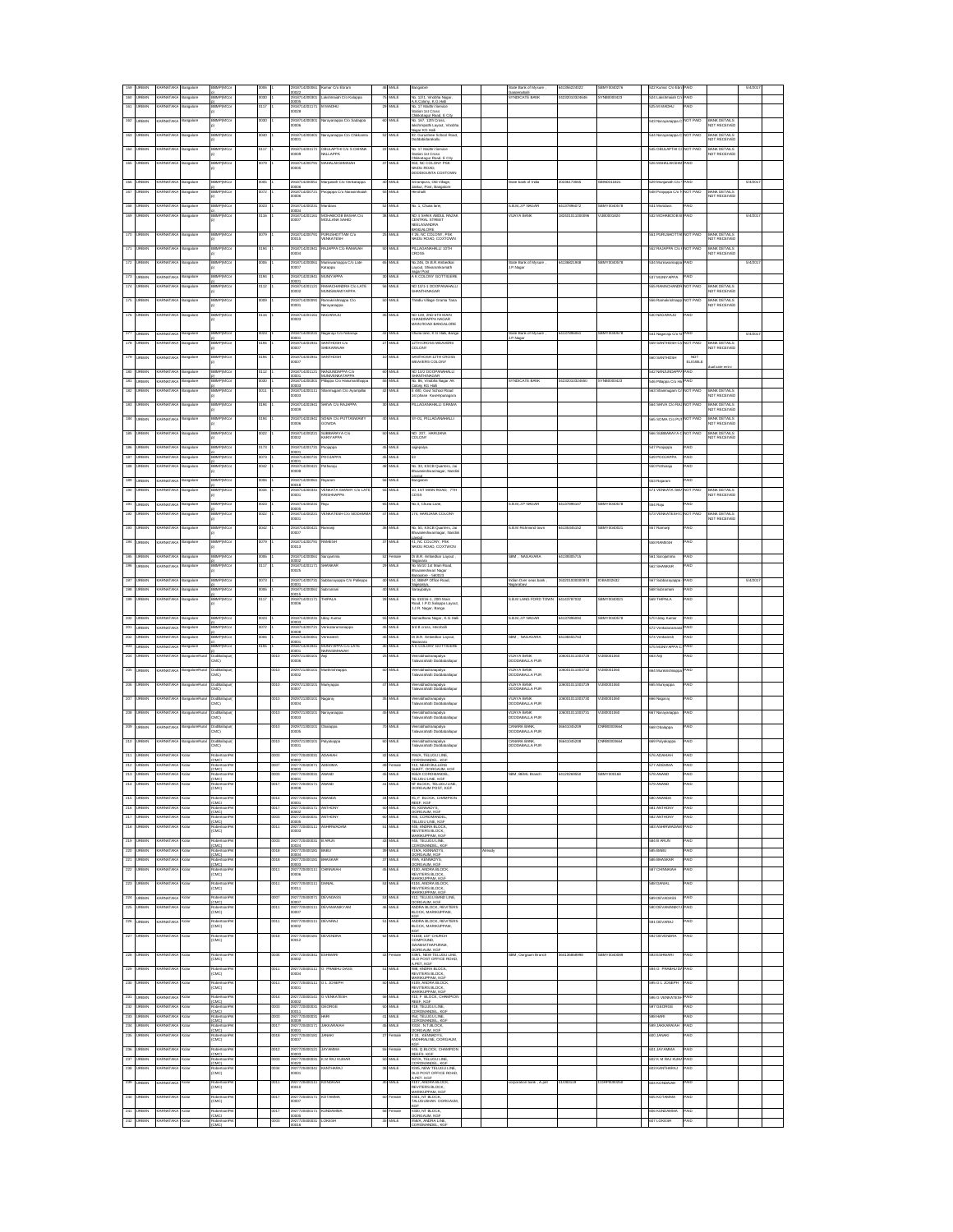|                         |                               |                                    |                          |                                        |                |             |                                                |                                                |                            |                     |                                                                                                                                                                         |     | ate Bank of Mysure                |                          |                     |                                   |                          |                                     |        |  |
|-------------------------|-------------------------------|------------------------------------|--------------------------|----------------------------------------|----------------|-------------|------------------------------------------------|------------------------------------------------|----------------------------|---------------------|-------------------------------------------------------------------------------------------------------------------------------------------------------------------------|-----|-----------------------------------|--------------------------|---------------------|-----------------------------------|--------------------------|-------------------------------------|--------|--|
| 160                     |                               |                                    |                          |                                        |                |             | 00022<br>291871420030                          |                                                | 75                         |                     | 12/1, Vin<br>W. K.G.Hali                                                                                                                                                |     | ianosnahalli<br>IYNDICATE BAN     |                          |                     |                                   |                          |                                     |        |  |
| 161                     | <b>URBAN</b>                  | ARNATAK                            | ngalore                  | <b>MP(MC</b>                           | ΠŽ             |             | 2918714201171<br>0028                          | <b>MADHL</b>                                   | 29                         | MALE                | No. 17 Maithri Service<br>ion 1st Cross                                                                                                                                 |     |                                   |                          |                     | 525 M MADHU                       | AE                       |                                     |        |  |
| 162                     | <b>URBAN</b>                  | ARNATAKA                           | Bangalore                | BBMP(MCo                               | 080            |             | 2918714200301                                  | larayanappa C/o Sadappa                        | 60                         | MALE                | Childesteaur Road, E City<br>No. 167, 12th Cross,                                                                                                                       |     |                                   |                          |                     | 543 Narayanappa C                 | <b>NOT PAID</b>          |                                     |        |  |
|                         |                               |                                    |                          |                                        |                |             | 30000                                          |                                                |                            |                     | akshmipathi Layout, Vinoblt<br><b>Nagar KG Hall</b>                                                                                                                     |     |                                   |                          |                     |                                   |                          | BANK DETAILS<br>NOT RECEIVED        |        |  |
| 163                     | <b>URBAN</b>                  | ARNATAKA                           | ingalore                 | BBMP(MCo                               | 040            |             | 2918714200401<br>10001                         | arayanappa C/o Childcanna                      | 52                         | MALE                | 32. Gurushree School Road,<br>Doddabidarakallu                                                                                                                          |     |                                   |                          |                     | 544 Narayanappa (                 | <b>NOT PAID</b>          | BANK DETAILS<br>NOT RECEIVED        |        |  |
| 164                     | <b>URBAN</b>                  | ARNATAKA                           | Bangalore                | BBMP(MCo                               | 3117           |             | 2918714201171<br>00000                         | <b>BULAPTHI C/o S CHINNA</b><br><b>ALLAPPA</b> | $\boldsymbol{\mathcal{D}}$ | MALE                | No. 17 Maithri Service<br>Station 1st Cross                                                                                                                             |     |                                   |                          |                     | <b>545 OBULAPTHI C</b>            | <b>NOT PAID</b>          | BANK DETAILS<br>NOT RECEIVED        |        |  |
| 165                     | <b>JRBAN</b>                  | <b>ARNATAK</b>                     | ngalore                  | <b>SBMPIMC</b>                         | 0079           |             | 201871420070                                   | .<br>Манат аксенвалан                          | $^{37}$                    | MALE                | Chikkatagur Road. E City<br>63, NC COLONY PSK                                                                                                                           |     |                                   |                          |                     | 326 MAHALAKSI-                    | AID                      |                                     |        |  |
|                         |                               |                                    |                          |                                        |                |             | 00005                                          |                                                |                            |                     | NAIDU ROAD.<br>DODDIGUNTA COXTOWN                                                                                                                                       |     |                                   |                          |                     |                                   |                          |                                     |        |  |
| 166                     | <b>URBAN</b>                  | ARNATAK                            | angalore                 | <b>SMP(MC)</b>                         | 005            |             | 291871420005                                   | fanjunath C/o Verikatappa                      |                            | 40 MALE             | Sriramoura, Old Villao                                                                                                                                                  |     | tate bank of India                | 0236173065               | BIN0011821          | 529 Manjunath C/o                 | PAID                     |                                     | 5/4/20 |  |
| 167                     | <b>JRBAN</b>                  | ARNATAK                            | ngalore                  | <b>BMP(MC)</b>                         | 3072           |             | 30000<br>2018714200721                         | oiacoa C/o Narasimhaia                         |                            | 55 MALE             | Jakkur, Post, Bangalon<br><b>Harohall</b>                                                                                                                               |     |                                   |                          |                     | 548 Poojappa C/o                  | NOT PAID                 | BANK DETAILS                        |        |  |
|                         |                               |                                    |                          |                                        |                |             | 80000                                          |                                                |                            |                     |                                                                                                                                                                         |     |                                   |                          |                     |                                   |                          | NOT RECEIVE                         |        |  |
| 168                     | <b>RAN</b>                    |                                    | ngalore                  | <b>BMP(MC)</b><br><b>BMPIMC</b>        | 123            |             | 91871420023                                    |                                                | 52                         | MLE<br>MLE          | éo. 1, Chuna lane,                                                                                                                                                      |     | B.M.J.PN<br><b>HAYA RA</b>        | 137896072<br>24010110000 | BMY004<br>1.8000182 | 31 Maridas<br>32 MOHABOOE         | 4D<br>AID.               |                                     |        |  |
| 169                     |                               |                                    | igalore                  |                                        | 116            |             | 2918714201161<br>10007                         | AOHABOOB BASHA CI:<br>AOULANA SAHID            | X                          |                     | NO 4 SHAIK ABDUL I<br>CENTRAL STREET<br><b>UENTON UTORA</b>                                                                                                             |     |                                   |                          |                     |                                   |                          |                                     | 5/4/2  |  |
| 170                     | RBAN                          | ARNATAK                            | ngalon                   | <b>BMP(MC</b>                          | 179            |             |                                                |                                                |                            | ML E                | NEELASANDRA<br>BANGALORE<br># 26, NC COLONY, PSK<br>WAIDU ROAD, COXTOWN                                                                                                 |     |                                   |                          |                     | 51 PURUSHOTT.                     | <b>IOT PAE</b>           |                                     |        |  |
|                         |                               |                                    |                          |                                        |                |             | 191871420079<br>IOD15                          | URUSHOTTAM CA<br>(ENKATESH                     |                            |                     |                                                                                                                                                                         |     |                                   |                          |                     |                                   |                          | BANK DETAILS<br>VOT RECEIVED        |        |  |
|                         | 8.AN                          | RNATA                              | ngalore                  | MP(MC                                  | 194            |             | 291871420194<br>00004                          | <b>LIAPPA C/O RAMAIA</b>                       |                            | MALE                | PILLAGANAHALLI 10TH<br>CROSS                                                                                                                                            |     |                                   |                          |                     | 52 RAJAPPA C                      | <b>JOT PAID</b>          | BANK DETAILS<br>NOT RECEIVE         |        |  |
| 172                     |                               |                                    | angalore                 | мР(МС                                  |                |             | 29187142000                                    | funiswamappa C/o Lati                          |                            | MALE                | io.246, Dr.B.R.Ambedias                                                                                                                                                 |     | State Bark of Mysure<br>J.P.Nagar | 136821948                |                     | 34 Muni                           | AID                      |                                     | 5/4/20 |  |
|                         |                               |                                    |                          |                                        |                |             | 10007                                          | aqquai                                         |                            |                     | ayout, Shivaramkamath<br>ear Post<br>\ K COLONY GOTTIGER                                                                                                                |     |                                   |                          |                     |                                   |                          |                                     |        |  |
| 173                     | 8AN                           |                                    | ngalore                  |                                        | 194<br>12      |             | 2918714201941<br>0001<br>918714201121          | <b>ILNYAPPA</b>                                | 30                         | MALE<br>ALE         | O 10/1-1 DOOR                                                                                                                                                           |     |                                   |                          |                     | 37 MUNIYAP                        | AID<br>OT PAID           |                                     |        |  |
|                         | <b>URBAN</b>                  | ARNATAKA                           | ngalore                  |                                        |                |             | 0002                                           | MACHANDRA C/o LAT<br>IUNSWAMIYAPPA             |                            |                     | HANTHINAGAR                                                                                                                                                             |     |                                   |                          |                     | 555 RAMACHAND                     |                          | SANK DETAILS<br>ØDT RECEIVEI        |        |  |
| 175                     | <b>URBAN</b>                  | ARNATAKA                           | Bangalore                | BBMP(MCo                               | 1009           |             | 2918714200091<br>0001                          | tamakrishnappa C/o<br>larayanappa              | 50                         | MALE                | Thindlu Village Grama Tana                                                                                                                                              |     |                                   |                          |                     | 556 Ramakrishnap                  | NOT PAID                 | <b>BANK DETAILS</b><br>NOT RECEIVED |        |  |
| 176                     | <b>URBAN</b>                  | ARNATAKA                           | Bangalore                | BBMP(MCo                               | 0116           |             | 2918714201161                                  | <b>IAGARAJU</b>                                | 36                         | MALE                | NO 149, 2ND 6TH MAIN                                                                                                                                                    |     |                                   |                          |                     | 540 NAGARAJU                      | <b>CIA</b>               |                                     |        |  |
|                         |                               |                                    |                          |                                        |                |             | 10003                                          |                                                |                            |                     | HANDRAPPA NAGAR<br>MAIN ROAD BANGALORE                                                                                                                                  |     |                                   |                          |                     |                                   |                          |                                     |        |  |
|                         | 177 LIRBAN                    | ARNATAKA                           | Bangalore                | <b>BBMP(MC)</b>                        | 0023           |             | 2918714200231                                  | lagaraju Cio Nataraj                           |                            | 42 MALE             | Chuna lane, K G Halli, Bang                                                                                                                                             |     | State Bank of Mysure              | 4137896061               | SBMY0040578         | 541 Nagaraju C/o                  | GIA <sup>C</sup>         |                                     | 5/4/20 |  |
| 178                     | <b>URBAN</b>                  | ARNATAKA                           | ingalore                 | <b>SBMPIMC</b>                         | 0194           |             | 00001<br>2918714201941<br>00007                | SANTHOSH C/O<br><b>HEKARAIAH</b>               |                            | 27 MALE             | 12TH CROSS WEAVERS<br>COLONY                                                                                                                                            |     | J.P.Nagar                         |                          |                     | 559 SANTHOSH O                    | NOT PAID                 | BANK DETAILS<br>NOT RECEIVE         |        |  |
| 179                     | <b>LIRBAN</b>                 | ARNATAK                            | langalore                | <b>SBMPIMC</b>                         | 0194           |             | 2918714201941                                  | <b>HOOHTMAI</b>                                |                            | 10 MALE             | SANTHOSH 12TH CROSS                                                                                                                                                     |     |                                   |                          |                     | 560 SANTHOSH                      | <b>NOT</b>               |                                     |        |  |
|                         |                               |                                    |                          |                                        |                |             | 10007                                          |                                                |                            |                     | <b><i>NEAVERS COLONY</i></b>                                                                                                                                            |     |                                   |                          |                     |                                   | <b>ELIGIBLE</b>          |                                     |        |  |
| 180                     | <b>JRBAN</b>                  | ARNATAKA                           | ingalore                 | <b>SMPIMC</b>                          | 0112           |             | 2918714201121<br>0001                          | <b>IANJUNDAPPA C/</b><br><b>ILNIVENKATAPP</b>  | $\omega$                   | <b>MALE</b>         | NO 10/2 DOOPANAHALLI<br>HANTHINAGAR                                                                                                                                     |     |                                   |                          |                     | 542 NANJUNDAP                     | AID                      |                                     |        |  |
| 181                     | RBAN                          | <b>RNATAKA</b>                     | ngalore                  | <b>BMPIMCo</b>                         | 060            |             | 918714200301                                   | ilappa C/o Hanu                                | 55                         | <b>MALE</b>         | e. 86, Vinchha Nagar AK<br>Colony KG Halli                                                                                                                              |     | <b>YNDICATE BAN</b>               | 1232010324650            | WAR000042           | 546 Pillappa C/o H                | AID                      |                                     |        |  |
| 182                     | RRAN                          | <b>RNATAK</b>                      | ngalori                  | <b>BMPIMC</b>                          | 011            |             | 2918714200111<br>00003                         |                                                |                            | MLE                 | E 480, Govt School Road<br>fat phase Kuvempunagara                                                                                                                      |     |                                   |                          |                     | 63 Shanmugam                      | <b>VOT PAID</b>          | BANK DETAILS<br>NOT RECEIVE         |        |  |
| 183                     |                               |                                    |                          | SMPIM                                  |                |             | 2918714201<br>0009                             | <b>HVA C/o RAJAI</b>                           |                            | IAI F               | <b>ILLAGANAHALLI GRAMA</b>                                                                                                                                              |     |                                   |                          |                     | 64 SHIVA C/o R                    | OT PAID                  | MAK DETAILS<br><b>VOT RECEIVE</b>   |        |  |
| 184                     |                               |                                    | Bangalore                |                                        | 194            |             | 291871420                                      |                                                | 40                         | MALE                | Y-01, PILLAGANAHALLI                                                                                                                                                    |     |                                   |                          |                     | 65 SOMA C/o                       | <b>OT PAID</b>           |                                     |        |  |
|                         |                               |                                    |                          |                                        |                |             | 0006                                           | SOMA C/o PUT<br>30WDA                          |                            |                     |                                                                                                                                                                         |     |                                   |                          |                     |                                   |                          | BANK DETAILS<br>VOT RECEIVE         |        |  |
| 185                     |                               |                                    | angalore                 |                                        |                |             | 29187142<br>0002                               | I <b>UBBAR</b> AYA C/o<br>IARIYAPPA            | 50                         | MALE                | NO 207, HARLL<br>COLONY                                                                                                                                                 |     |                                   |                          |                     |                                   | <b>IOT PAID</b>          | BANK DETAILS<br>NOT RECEIVEI        |        |  |
| 186                     | <b>URBAN</b>                  | ARNATAKA                           | ngalore                  | <b>IP(MC</b>                           |                |             | 1871420                                        | ojappa                                         |                            |                     | ajepalya                                                                                                                                                                |     |                                   |                          |                     | 547 Poojappa                      | AID                      |                                     |        |  |
| 187                     | <b>JRBAN</b>                  | <b><i>ARNATAKA</i></b>             | ngalore                  | SMP(MCo                                | 073            |             | 00001<br>2918714200731                         | OOJAPPA                                        | 46                         | <b>MALE</b>         |                                                                                                                                                                         |     |                                   |                          |                     | 49 POOJAPPA                       | <b>GIA</b>               |                                     |        |  |
| 188                     | <b>JRBAN</b>                  | ARNATAKA                           | ngalore                  | BBMP(MCo                               | 042            |             | 00001<br>2918714200421                         | otharaju                                       | 48                         | MALE                | No. 33, KSCB Quarters, Jai                                                                                                                                              |     |                                   |                          |                     | 550 Potharaju                     | <b>GIA</b>               |                                     |        |  |
|                         |                               |                                    |                          |                                        |                |             | 80000<br>291871420006                          |                                                |                            |                     | Bhuvaneshwarinagar, Nandir<br>avout                                                                                                                                     |     |                                   |                          |                     |                                   |                          |                                     |        |  |
| 189                     | <b>LIRBAN</b><br><b>URBAN</b> | ARNATAK<br>ARNATAK                 | ingalore                 | <b>BBMP(MC)</b>                        | 006<br>034     |             | 81000<br>2918714200341                         | alaram                                         | 58                         | MALE<br>55 MALE     | angalore                                                                                                                                                                |     |                                   |                          |                     | 53 Raiaram<br>571 VENKATA S       | AID<br><b>VOT PAID</b>   | BANK DETAILS                        |        |  |
| 190                     |                               |                                    | ngalore                  | <b>SMP(MC</b>                          |                |             | 10001                                          | <b>ENKATA SWAMY COLAT</b><br><b>RISHNAPPA</b>  |                            |                     | 10, 1ST MAIN ROAD, 7TH<br>coss                                                                                                                                          |     |                                   |                          |                     |                                   |                          | NOT RECEIVE                         |        |  |
| 191                     | <b>URBAN</b>                  | ARNATAK                            | ingalore                 | <b>SMP(MC)</b>                         | 023            |             | 2918714200231<br>0005                          | siu                                            |                            | 65 MALE             | No.3. Chuna Lane.                                                                                                                                                       |     | <b>B.M.J.P.NAGAR</b>              | 4137896107               | BMY0040578          | 554 Raju                          | AID.                     |                                     |        |  |
| 192                     | RBAN                          | ARNATAK                            | ngalore                  | <b>BMPIMC</b>                          | $\overline{a}$ |             | 2018714200221<br>00001                         | <b>/ENKATESH C/o SIDDAM</b>                    |                            | MALE                | 174. HARIJANA COLONN                                                                                                                                                    |     |                                   |                          |                     | 73 VENKATESH                      | <b>NOT PAID</b>          | BANK DETAILS<br>NOT RECEIVE         |        |  |
|                         | <b>184N</b>                   | RNATAK                             | ngalore                  | <b>BMP(MC</b>                          |                |             | 918714200421                                   |                                                |                            | AL E                | .<br>4b. 50, KSCB Quarters, Jai<br>Bhuvaneshwarinagar, Nandir                                                                                                           |     | B.M R                             | 135345152                |                     | 57 Ramanj                         | AID                      |                                     |        |  |
| 194                     | <b>184N</b>                   | RNATAK                             | ngalore                  | <b>BMP(MC</b>                          | 179            |             | 0007<br>9187142007                             | <b>WESE</b>                                    |                            | <b>MLE</b>          |                                                                                                                                                                         |     |                                   |                          |                     | 58 RAMESH                         | AID                      |                                     |        |  |
|                         |                               |                                    |                          |                                        |                |             | 0013                                           |                                                |                            |                     | AT.<br>M. NC COLONY, PSK<br>NAIDU ROAD, COXTWON                                                                                                                         |     |                                   |                          |                     |                                   |                          |                                     |        |  |
| 195                     | RBAN                          | <b>RNATAK</b>                      |                          | BMPIMO                                 |                |             | 91871420                                       |                                                | S,                         | nak                 | .<br>Dr.B.R. Ambedkar Layout                                                                                                                                            |     | BM, NAGAVA                        | 139305715                |                     | i61 Sarojamma                     | 4D                       |                                     |        |  |
| 196                     |                               |                                    | ngalore                  | <b>MP(MC</b>                           | 117            |             | 291871420117.<br>10025                         | HANKAF                                         | 29                         | MALE                | No 55/10 1st Main Road,<br>ari Nagar                                                                                                                                    |     |                                   |                          |                     | 62 SHANKAR                        | AID                      |                                     |        |  |
| 197                     |                               |                                    | Bangalore                | лР(МС                                  | 073            |             | 291871420073                                   | ubbarayappa C/o Palleppa                       |                            | 40 MALE             | angalore - 560023<br>24, BBMP Office Road,                                                                                                                              |     | lian Over seas bank               | 6320100000               | 084002633           | 67 Subbarayapp                    | AID                      |                                     | 5/4/2  |  |
| 198                     | <b>JRBAN</b>                  | ARNATAKA                           | ngalore                  |                                        | 006            |             | 291871420006<br>00015                          |                                                | 40                         | MAL E               | larayipalya                                                                                                                                                             |     |                                   |                          |                     | 568 Subramani                     | AID                      |                                     |        |  |
| 199                     | <b>URBAN</b>                  | ARNATAKA                           | Bangalore                | BBMP(MCo                               | 0117           |             | 2918714201171<br>8000                          | HIPALA                                         | 28                         | MALE                | No 410/16-1, 20th Main<br>load, I.P.D.Salappa Layou                                                                                                                     |     | S.B.M LANG FORD TOWN              | 4143787032               | SBMY0040021         | 569 THIPALA                       | <b>GIA</b>               |                                     |        |  |
|                         |                               |                                    |                          |                                        |                |             |                                                |                                                |                            |                     | LJ.R. Nagar, Banga                                                                                                                                                      |     |                                   |                          |                     |                                   |                          |                                     |        |  |
| 200                     | <b>URBAN</b><br><b>URBAN</b>  | ARNATAKA<br>ARNATAKA               | Bangalore<br>angalore    | <b>BBMP(MCa</b>                        | 1023<br>0072   |             | 2918714200231<br>10003                         | Jday Kumar                                     | 55<br>45                   | MALE<br>MALE        | Samadhana Nagar, K.G.Hall                                                                                                                                               |     | S.B.M.J.P NAGAR                   | 4137896094               | SBMY0040578         | 570 Uday Kumar<br>572 Verkatarama | <b>GIA</b><br><b>CIA</b> |                                     |        |  |
|                         |                               |                                    |                          |                                        |                |             | 2918714200721                                  | enkataramanappa                                |                            |                     | 3rd B cross, Herchalli                                                                                                                                                  |     |                                   |                          |                     |                                   |                          |                                     |        |  |
| 201                     |                               |                                    |                          | <b>BBMP(MCa</b>                        |                |             | 10008                                          |                                                |                            |                     |                                                                                                                                                                         |     |                                   |                          |                     |                                   |                          |                                     |        |  |
| 202<br>203              | <b>URBAN</b><br><b>URBAN</b>  | ARNATAKA<br>ARNATAKA               | angalore                 | <b>SBMPIMCo</b><br><b>SBMPIMCo</b>     | 8000<br>0194   |             | 2918714200061<br>0001<br>2918714201941         | /enkatesh<br>MUNYAPPA C/o LATE                 |                            | 45 MALE             | Dr.B.R. Ambedkar Layout.<br>A K COLONY GOTTIGERE                                                                                                                        |     | SBM. NAGAVARA                     | 4138455783               |                     | 574 Verkatesh<br>575 MUNIYAPPA    | PAID<br>PAID             |                                     |        |  |
| 204                     | <b>IRRAN</b>                  | ARNATAK                            | langalore<br>IngaloreRur | <b>DodBallape</b>                      |                | 010         | 10001<br>2929721300101                         | <b>WRASIMHAM</b><br>uψ                         |                            | 30 MALE<br>25 MALE  | <b>Nerabhadranapalva</b>                                                                                                                                                |     | <b>VIJAYA BANK</b>                | 06001011003728           | 1,80001060          | 663 Anji                          | AID.                     |                                     |        |  |
|                         |                               |                                    |                          | <b>MCI</b>                             |                |             | 8000                                           |                                                |                            |                     | alavarahatti Doddaballaou                                                                                                                                               |     | DODDABALLA PUR                    |                          |                     |                                   |                          |                                     |        |  |
| 205                     | <b>IRRAN</b>                  | <b>ARNATAK</b>                     | ingaloreRu               | IviRalian<br>MC)                       |                | 010         | 2929721300101<br>0002                          | lunikrishnappi                                 |                            | MALE                | 'eerabhadranapalya<br>'alavarahatti Doddaballap                                                                                                                         |     | <b>JUAYA RAM</b><br>ODDABALLA PUR | 06001011003732           | 1.8000106           | 64 Munikrish                      | AID                      |                                     |        |  |
| 206                     | <b>RRAN</b>                   | <b>RNATAK</b>                      | ngaloreRu                | IviRalia                               |                | 010         | 2929721300101<br>0007                          | luniyapp                                       |                            | <b>MALE</b>         | leerabhadranapalya<br>'alavarahatti Doddaballi                                                                                                                          |     | <b>JUAYA RAM</b><br>ODDABALLA PUR | 06001011003729           | 1.800016            | .<br>365 Muniyappa                | AID                      |                                     |        |  |
| 207                     | <b>JRBAN</b>                  | ARNATAK                            | ingaloreRu               | MC)<br>IviRalian                       |                | 010         | 292972130010                                   |                                                |                            | MALE                |                                                                                                                                                                         |     | <b>JUAYA RAM</b>                  | 06001011003730           | 1.800010            |                                   | AID                      |                                     |        |  |
|                         |                               |                                    |                          | MC)                                    |                |             | 0004                                           | lagaraj                                        |                            |                     | .<br>Nerabhadranapalya<br>Falavarahami Doddabali                                                                                                                        |     | ODDABALLA PUR                     |                          |                     | 668 Nagaraj                       |                          |                                     |        |  |
| 208                     |                               |                                    |                          | JodBal<br>2MC)                         |                | 1010        | 29297213<br>00003                              | arayanapp.                                     |                            | MALE                | /eerabhadranapalya<br>Falavarahatti Doddaba                                                                                                                             |     | VIJAYA BANK<br>DODDABALLA PUR     | 600101100373             |                     | 67 Narayanappa                    | AID                      |                                     |        |  |
| 209                     |                               |                                    |                          |                                        |                | 010         | 292972130                                      | balappa                                        | 70                         | MALE                |                                                                                                                                                                         |     |                                   | 641045201                |                     | 68 Obalappa                       | AID                      |                                     |        |  |
| 210                     |                               |                                    |                          | lodBa<br>:MC)                          |                | 010         | 0005<br>29297213                               | slyskappe                                      | 60                         | MALE                | /eerabhadranapalya<br>Falavarahatti Doddaba<br>/eerabhadra                                                                                                              |     | CANARA BANK,<br>DODDABALLA PUR    |                          |                     | 69 Palyakappa                     | AID                      |                                     |        |  |
|                         |                               |                                    |                          | )odBa<br>2MC)                          |                |             | 0001                                           |                                                |                            |                     | aerabhadranapalya<br><i>ilavarahatt</i> i Doddaba                                                                                                                       |     | CANARA BANK,<br>DODDABALLA PUR    |                          |                     |                                   |                          |                                     |        |  |
| 211                     | <b>URBAN</b>                  | ARNATAKA                           |                          | (CMC)                                  |                |             | 30002                                          |                                                |                            |                     | <b>MA, TELUGU LI</b><br>COROMANDEL, KGF                                                                                                                                 |     |                                   |                          |                     | HAIHAGA 85                        |                          |                                     |        |  |
| 212                     | <b>JRBAN</b>                  | <b>ARNATAKA</b><br><b>ARNATAKA</b> |                          | dertsonPr<br>(CMC)                     |                | 007         | 2927720400071<br>10003                         | DEMMA<br>NAND                                  | 49                         | alam                | #10, NEAR BULLENS<br>SHAFT, OORGAUM, KGF                                                                                                                                |     | <b>SBM, BEML Branch</b>           | 120269550                |                     | 77 ADEMMA                         |                          |                                     |        |  |
| 213<br>214              | <b>URBAN</b><br>RBAN          |                                    |                          | obertsonPe<br><b>MCI</b>               |                | 8000        | 2927720400031<br>001                           | MAND                                           | 46                         | MALE<br><b>MALE</b> | #65/A COROMANDEL,<br>TELUGU LINE. KGF<br>IT BLOCK, TELUGU LIN                                                                                                           |     |                                   |                          |                     | 79 ANAND                          | ٨E                       |                                     |        |  |
|                         |                               |                                    |                          | CMC)                                   |                |             | 0008                                           |                                                |                            |                     | ORGAUM POST, KGF                                                                                                                                                        |     |                                   |                          |                     |                                   |                          |                                     |        |  |
| 215                     | <b>URBAN</b>                  | ARNATAK                            |                          | rhertsrei<br>CMCI                      |                | 014         | 2927720400141<br>0001                          | <b>NANDA</b>                                   | $^{34}$                    | MALE                | <b>#5. F BLOCK, CHAMPION</b><br>REEF, KGF                                                                                                                               |     |                                   |                          |                     | 580 ANANDA                        | AID                      |                                     |        |  |
| 216                     | <b>URBAN</b>                  | ARNATAK                            |                          | w<br>CMC                               |                | 017         | 927720400171<br>0002                           | <b>NTHONY</b>                                  | 50                         | MALE                | <b>IS. KENNADYS.</b><br><b>ORGALM, KG</b>                                                                                                                               |     |                                   |                          |                     | 581 ANTHONY                       | <b>AID</b>               |                                     |        |  |
| 217                     | <b>BAN</b>                    |                                    |                          | CMCI                                   |                | ΣÚΣ         | 720400031<br>0005                              | <b>NTHONY</b>                                  |                            | MLE                 | OMAND<br>TELUGU LINE, KGI                                                                                                                                               |     |                                   |                          |                     | 82 ANTHON                         | AID                      |                                     |        |  |
| 218                     | <b>BAN</b>                    |                                    |                          | CMC)                                   |                | 311         | 720400111<br>0003                              |                                                |                            | <b>MLE</b>          | <b>445, ANDRA BLO<br/>REVITERS BLOCK</b>                                                                                                                                |     |                                   |                          |                     | <b>H2488</b>                      | 4ID                      |                                     |        |  |
| 219                     |                               | <b>MATAL</b>                       |                          | w.                                     |                |             | 2772040003                                     | ARUN                                           | $\overline{45}$            | <b>ALE</b>          |                                                                                                                                                                         |     |                                   |                          |                     | 84 B ARUN                         | 4D                       |                                     |        |  |
| 220                     |                               | <b>ENATAP</b>                      |                          | MC                                     |                |             | 2772040018                                     |                                                | 3                          | <b>MLE</b>          |                                                                                                                                                                         | ady |                                   |                          |                     | 85 BABU                           | 4D                       |                                     |        |  |
| 22                      |                               |                                    |                          | <b>MCI</b>                             |                | 318         | 92772040018                                    | <b>HASKAR</b>                                  | 37                         | MALE                | <b>NEVITERS BLOCK,<br/>WARIKUPPAM, KGF</b><br>WS, TELUGU LINE,<br>YORQANDEL, KGF<br>YORQANDEL, KGF<br>WARIKUPAM, KGF<br>MARIKUPAM, KGF<br>INA, KENNADYS,<br>ORGAUM, KGF |     |                                   |                          |                     | BE BHASK                          | 4Đ                       |                                     |        |  |
| $\overline{\mathbf{z}}$ |                               |                                    |                          | cobarts<br>CMC)                        |                | 011         | 192772040011<br>10006                          | <b>HNNALA</b>                                  |                            | <b>MLE</b>          | 1100, ANDRA BLOCK<br>REVITERS BLOCK,                                                                                                                                    |     |                                   |                          |                     | 87 CHN                            | AID                      |                                     |        |  |
| 223                     | <b>URBAN</b>                  | ARNATAKA                           |                          |                                        |                | 011         | 92772040011                                    |                                                |                            | MALE                | KUPPAM, KG                                                                                                                                                              |     |                                   |                          |                     | <b>588 DANJAL</b>                 | AID                      |                                     |        |  |
|                         |                               |                                    |                          | cobart:<br>CMC)                        |                |             | 0011                                           |                                                |                            |                     | ⊭104, ANDRA BLOCK,<br>REVITERS BLOCK,<br>MARIKUPPAM, KGF                                                                                                                |     |                                   |                          |                     |                                   |                          |                                     |        |  |
| 224<br>225              | <b>JRBAN</b><br><b>JRBAN</b>  | <b>JRNATAKA</b><br><b>JRNATAKA</b> | <b>Nat</b>               | coertscré<br>CMCI.<br>coertscré        |                | 007<br>0011 | 927720400071<br>0007<br>2927720400111          | <b>DEVADASS</b><br><b>EVAMANIKY AM</b>         | 53<br>46                   | MALE<br>MALE        | 112, TELUGU BAND LINE,<br>ORGAUM, KGF<br><b>INDRA BLOCK, REVITERS</b>                                                                                                   |     |                                   |                          |                     | 589 DEVADASS<br>590 DEVAMANIK     | AID.<br><b>GIA</b>       |                                     |        |  |
|                         |                               |                                    |                          | CMC)                                   |                |             | 0007                                           |                                                |                            |                     | LOCK, MARIKUPPAM,                                                                                                                                                       |     |                                   |                          |                     |                                   |                          |                                     |        |  |
| 226                     | <b>URBAN</b>                  | ARNATAKA                           | <b>Colar</b>             | coertson<br>CMC)                       |                | 0011        | 2927720400111<br>0002                          | <b>JEVARAJ</b>                                 | 51                         | MALE                | <b>INDRA BLOCK, REVITERS</b><br>BLOCK, MARIKUPPAM,                                                                                                                      |     |                                   |                          |                     | 591 DEVARAJ                       | <b>CIA</b>               |                                     |        |  |
| 227                     | <b>LIRBAN</b>                 | ARNATAK                            | <b>Vo</b>                | hobertson                              |                | 0018        | 2927720400181                                  | <b>DEVENDRA</b>                                |                            | 62 MALE             | XG<br><b>11048, LEF CHURCH</b>                                                                                                                                          |     |                                   |                          |                     | 100 DEVENDRA                      | <b>AID</b>               |                                     |        |  |
|                         |                               |                                    |                          | CMCI                                   |                |             | 0012                                           |                                                |                            |                     | COMPOUND.<br>WAMIATHAPURAM.<br><b>DORGALIM KGF</b>                                                                                                                      |     |                                   |                          |                     |                                   |                          |                                     |        |  |
| 228                     | <b>LIRBAN</b>                 | ARNATAK                            | olar                     | ethedos<br>CMCI                        |                | 0034        | 292772040034<br>0002                           | SHWARI                                         | 42                         | male                | 39/1. NEW TELUGU LINE<br>OLD POST OFFICE ROAD                                                                                                                           |     | SBM, Oorgaum Branch               | 64136888998              | BMY0040089          | 333 ESHWARI                       | <b>AID</b>               |                                     |        |  |
| 229                     | <b>IRRAN</b>                  | ARNATAK                            | hilar                    | cobertsc                               |                | 0011        | 2927720400111                                  | <b>PRABHU DASS</b>                             | 51                         | MALE                | <b>APET, KGF</b><br>88. ANDRA BLOCK                                                                                                                                     |     |                                   |                          |                     | 594 G PRABHUI                     | PAID                     |                                     |        |  |
|                         | <b>DO A</b>                   | <b>RNATAK</b>                      |                          | CMC)<br><b><i><u>Libration</u></i></b> |                |             | 0004<br>292772040011                           |                                                |                            | MLE                 | REVITERS BLOCK<br>MARIKUPPAM, KGF                                                                                                                                       |     |                                   |                          |                     |                                   | AID.                     |                                     |        |  |
| 230                     |                               |                                    |                          | CMC)                                   |                | 1011        | 0001                                           | LJOSEPH                                        |                            |                     | #109, ANDRA BLOCK<br>REVITERS BLOCK,<br>IKI IPPAM KO                                                                                                                    |     |                                   |                          |                     | 596 G L JOSEP                     |                          |                                     |        |  |
| 231                     | <b>IRRAN</b>                  | <b>ARNATAK</b>                     |                          | whereone<br>CMCI                       |                | 014         | 2927720400141                                  | <b>VENKATES</b>                                | 58                         | <b>MALE</b>         |                                                                                                                                                                         |     |                                   |                          |                     | <b>596 G VENKATES</b>             | AID.                     |                                     |        |  |
| 232                     | RBAN                          |                                    |                          | chertson <sup>g</sup><br>CMCI          |                | öω          | 2772040003                                     | <b>FORGE</b>                                   | $\overline{\mathcal{L}}$   | MLE                 |                                                                                                                                                                         |     |                                   |                          |                     | 37 GEORGI                         | AID.                     |                                     |        |  |
| 233                     |                               |                                    |                          | CMC <sub>1</sub>                       |                | oоз         | <b>1009</b>                                    | ١R                                             | 41                         |                     | NEEL NAF<br>20 ROMANDEL KG<br>20 ROMANDEL KG<br>154, TELUGU LINE,                                                                                                       |     |                                   |                          |                     | 98 HA                             | AID                      |                                     |        |  |
| 234<br>235              |                               |                                    |                          | CMC                                    |                | 017<br>318  | 292772040017<br>301                            | <b>IKKARAM</b><br>anak                         | 45                         |                     | 20 ROMANDEL KG<br>IS18 , N.T.BLOCK,<br>ORGALM, KGI                                                                                                                      |     |                                   |                          |                     | 99 JAKK                           | AID<br>AID               |                                     |        |  |
|                         | <b>JRBAN</b>                  | <b><i>ARNATAK</i></b>              |                          | tobert:<br>CMC)                        |                |             | 2927720<br>0007                                |                                                | $\boldsymbol{2}$           |                     | #24, KENNADYS,<br>NNDHRALINE, OORGAUM,<br>œЕ                                                                                                                            |     |                                   |                          |                     | DAMAKI 008                        |                          |                                     |        |  |
| 238                     | <b>URBAN</b>                  | ARNATAKA                           | xlar                     | obertsonF<br>CMCL                      |                | 1012        | 2927720400121<br>0003                          | <b>AYAMMA</b>                                  | 56                         | alam                | 46, Q.BLOCK, CHAMPION<br>REEFS, KGF                                                                                                                                     |     |                                   |                          |                     | AMMAYAL 108                       | <b>GIA</b>               |                                     |        |  |
| 237                     | <b>URBAN</b>                  | ARNATAKA                           |                          | obertsonP<br>CMCI.                     |                | EDD         | 2927720400031<br>0020                          | M RAJ KUMAR                                    | 50                         | <b>MALE</b>         | 87/A, TELUGU LINE<br>COROMANDEL KGF                                                                                                                                     |     |                                   |                          |                     | 602 K M RAJ KUM                   | <b>AID</b>               |                                     |        |  |
| 238                     | <b>URBAN</b>                  | ARNATAKA                           |                          | obertsonP<br>CMC)                      |                | 034         | 2927720400341<br>10001                         | <b>ANTHARA</b>                                 | $\infty$                   | <b>MALE</b>         | #245, NEW TELUGU LINE,<br>OLD POST OFFICE ROAD,<br>PET. KGI                                                                                                             |     |                                   |                          |                     | 603 KANTHARAJ                     | <b>AID</b>               |                                     |        |  |
| 239                     | <b>LIRBAN</b>                 | ARNATAK                            |                          | coerts<br>CMC)                         |                | XO11        | 292772040011<br>0010                           | ONDAIAH                                        |                            | <b>IALE</b>         | 07, ANDRA BLOCK<br>REVITERS BLOCK                                                                                                                                       |     | rporation bank, A pet             | 1/000119                 | ORP0000250          | <b>04 KONDAIAH</b>                | AID                      |                                     |        |  |
| 240                     | <b>JRBAN</b>                  | ARNATAK                            |                          | oberti                                 |                | 017         | 292772040017                                   | OTAMMA                                         | 50                         | vole                | MARIKUPPAM, KGI<br>301. NT BLOCK                                                                                                                                        |     |                                   |                          |                     | <b>IOS KOTAMMA</b>                | AID.                     |                                     |        |  |
|                         |                               |                                    |                          | CMC)                                   |                |             | 0007                                           |                                                |                            |                     | ALUGUSHAN OORGALM                                                                                                                                                       |     |                                   |                          |                     |                                   |                          |                                     |        |  |
| 241<br>242              | <b>URBAN</b><br>8AN           | ARNATAK                            |                          | obertson<br>CMCI<br>CMCI               |                | 017<br>χœ   | 92772040017<br>005<br>12772040003<br>.<br>OM R | <b>LINDAMMA</b><br><b>KCFRH</b>                | 58                         | male<br>ALE         | #330. NT BLOCK<br>.<br>1987 - SALIM KARA LINE<br>1987 - ANDRA LINE<br>COROMANDEL KGI                                                                                    |     |                                   |                          |                     | <b>06 KUNDAMMA</b><br>97 LOKESH   | AID<br>AID               |                                     |        |  |